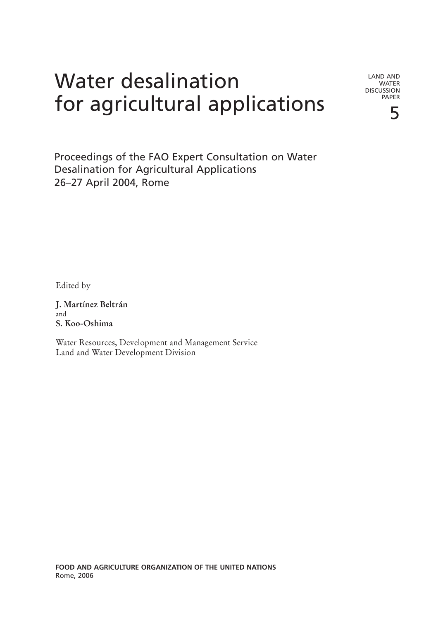# Water desalination for agricultural applications

LAND AND WATER DISCUSSION PAPER

5

Proceedings of the FAO Expert Consultation on Water Desalination for Agricultural Applications 26–27 April 2004, Rome

Edited by

**J. Martínez Beltrán** and **S. Koo-Oshima**

Water Resources, Development and Management Service Land and Water Development Division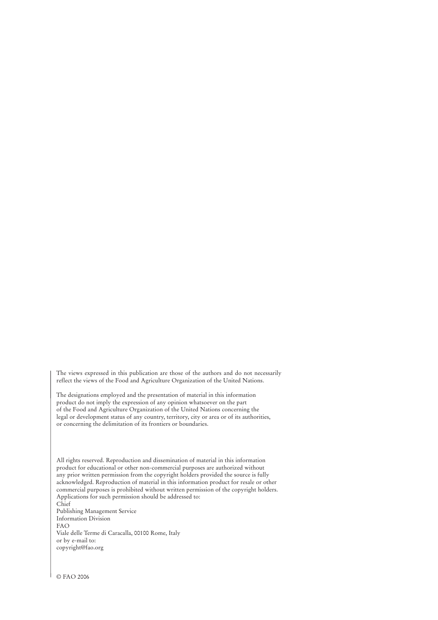The views expressed in this publication are those of the authors and do not necessarily reflect the views of the Food and Agriculture Organization of the United Nations.

The designations employed and the presentation of material in this information product do not imply the expression of any opinion whatsoever on the part of the Food and Agriculture Organization of the United Nations concerning the legal or development status of any country, territory, city or area or of its authorities, or concerning the delimitation of its frontiers or boundaries.

All rights reserved. Reproduction and dissemination of material in this information product for educational or other non-commercial purposes are authorized without any prior written permission from the copyright holders provided the source is fully acknowledged. Reproduction of material in this information product for resale or other commercial purposes is prohibited without written permission of the copyright holders. Applications for such permission should be addressed to:

Chief Publishing Management Service Information Division FAO Viale delle Terme di Caracalla, 00100 Rome, Italy or by e-mail to: copyright@fao.org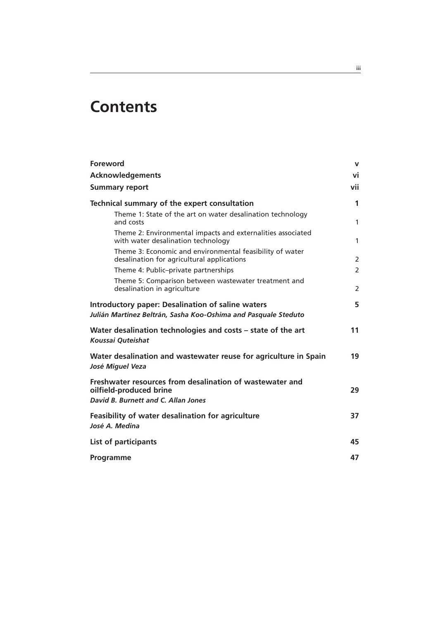## **Contents**

| <b>Foreword</b>                                                                                                            | v              |
|----------------------------------------------------------------------------------------------------------------------------|----------------|
| <b>Acknowledgements</b>                                                                                                    | vi             |
| <b>Summary report</b>                                                                                                      | vii            |
| Technical summary of the expert consultation                                                                               | 1              |
| Theme 1: State of the art on water desalination technology<br>and costs                                                    | 1              |
| Theme 2: Environmental impacts and externalities associated<br>with water desalination technology                          | 1              |
| Theme 3: Economic and environmental feasibility of water<br>desalination for agricultural applications                     | 2              |
| Theme 4: Public-private partnerships                                                                                       | $\overline{2}$ |
| Theme 5: Comparison between wastewater treatment and<br>desalination in agriculture                                        | $\overline{2}$ |
| <b>Introductory paper: Desalination of saline waters</b><br>Julián Martínez Beltrán, Sasha Koo-Oshima and Pasquale Steduto | 5              |
| Water desalination technologies and costs - state of the art<br>Koussai Quteishat                                          | 11             |
| Water desalination and wastewater reuse for agriculture in Spain<br>José Miguel Veza                                       | 19             |
| Freshwater resources from desalination of wastewater and<br>oilfield-produced brine<br>David B. Burnett and C. Allan Jones | 29             |
| Feasibility of water desalination for agriculture<br>José A. Medina                                                        | 37             |
| List of participants                                                                                                       | 45             |
| Programme                                                                                                                  | 47             |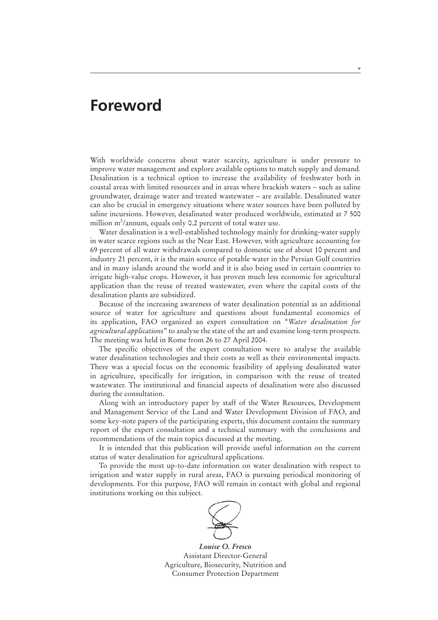## **Foreword**

With worldwide concerns about water scarcity, agriculture is under pressure to improve water management and explore available options to match supply and demand. Desalination is a technical option to increase the availability of freshwater both in coastal areas with limited resources and in areas where brackish waters – such as saline groundwater, drainage water and treated wastewater – are available. Desalinated water can also be crucial in emergency situations where water sources have been polluted by saline incursions. However, desalinated water produced worldwide, estimated at 7 500 million m<sup>3</sup>/annum, equals only 0.2 percent of total water use.

Water desalination is a well-established technology mainly for drinking-water supply in water scarce regions such as the Near East. However, with agriculture accounting for 69 percent of all water withdrawals compared to domestic use of about 10 percent and industry 21 percent, it is the main source of potable water in the Persian Gulf countries and in many islands around the world and it is also being used in certain countries to irrigate high-value crops. However, it has proven much less economic for agricultural application than the reuse of treated wastewater, even where the capital costs of the desalination plants are subsidized.

Because of the increasing awareness of water desalination potential as an additional source of water for agriculture and questions about fundamental economics of its application, FAO organized an expert consultation on "*Water desalination for agricultural applications*" to analyse the state of the art and examine long-term prospects. The meeting was held in Rome from 26 to 27 April 2004.

The specific objectives of the expert consultation were to analyse the available water desalination technologies and their costs as well as their environmental impacts. There was a special focus on the economic feasibility of applying desalinated water in agriculture, specifically for irrigation, in comparison with the reuse of treated wastewater. The institutional and financial aspects of desalination were also discussed during the consultation.

Along with an introductory paper by staff of the Water Resources, Development and Management Service of the Land and Water Development Division of FAO, and some key-note papers of the participating experts, this document contains the summary report of the expert consultation and a technical summary with the conclusions and recommendations of the main topics discussed at the meeting.

It is intended that this publication will provide useful information on the current status of water desalination for agricultural applications.

To provide the most up-to-date information on water desalination with respect to irrigation and water supply in rural areas, FAO is pursuing periodical monitoring of developments. For this purpose, FAO will remain in contact with global and regional institutions working on this subject.



*Louise O. Fresco* Assistant Director-General Agriculture, Biosecurity, Nutrition and Consumer Protection Department

**v**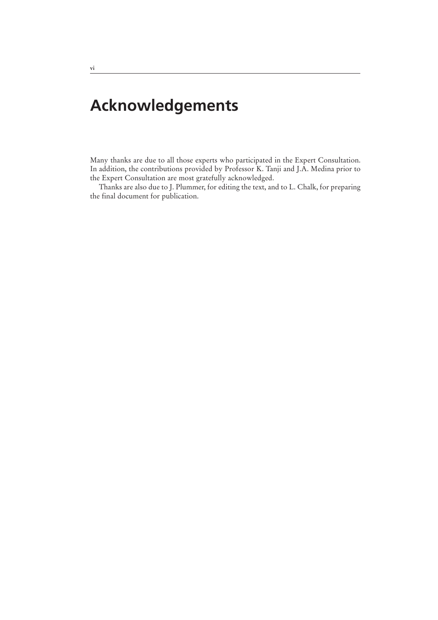## **Acknowledgements**

Many thanks are due to all those experts who participated in the Expert Consultation. In addition, the contributions provided by Professor K. Tanji and J.A. Medina prior to the Expert Consultation are most gratefully acknowledged.

Thanks are also due to J. Plummer, for editing the text, and to L. Chalk, for preparing the final document for publication.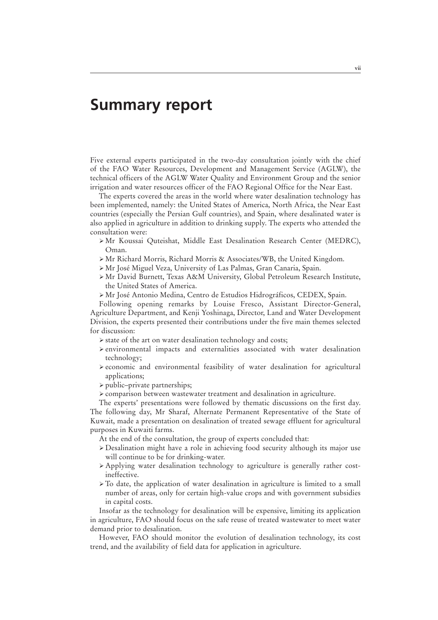## **Summary report**

Five external experts participated in the two-day consultation jointly with the chief of the FAO Water Resources, Development and Management Service (AGLW), the technical officers of the AGLW Water Quality and Environment Group and the senior irrigation and water resources officer of the FAO Regional Office for the Near East.

The experts covered the areas in the world where water desalination technology has been implemented, namely: the United States of America, North Africa, the Near East countries (especially the Persian Gulf countries), and Spain, where desalinated water is also applied in agriculture in addition to drinking supply. The experts who attended the consultation were:

- ÿ Mr Koussai Quteishat, Middle East Desalination Research Center (MEDRC), Oman.
- ÿ Mr Richard Morris, Richard Morris & Associates/WB, the United Kingdom.
- ÿ Mr José Miguel Veza, University of Las Palmas, Gran Canaria, Spain.
- ÿ Mr David Burnett, Texas A&M University, Global Petroleum Research Institute, the United States of America.
- ÿ Mr José Antonio Medina, Centro de Estudios Hidrográficos, CEDEX, Spain.

Following opening remarks by Louise Fresco, Assistant Director-General, Agriculture Department, and Kenji Yoshinaga, Director, Land and Water Development Division, the experts presented their contributions under the five main themes selected for discussion:

- $\triangleright$  state of the art on water desalination technology and costs;
- $\ge$  environmental impacts and externalities associated with water desalination technology;
- $\geq$  economic and environmental feasibility of water desalination for agricultural applications;
- $\triangleright$  public–private partnerships;
- ÿ comparison between wastewater treatment and desalination in agriculture.

The experts' presentations were followed by thematic discussions on the first day. The following day, Mr Sharaf, Alternate Permanent Representative of the State of Kuwait, made a presentation on desalination of treated sewage effluent for agricultural purposes in Kuwaiti farms.

At the end of the consultation, the group of experts concluded that:

- $\geq$  Desalination might have a role in achieving food security although its major use will continue to be for drinking-water.
- $\triangleright$  Applying water desalination technology to agriculture is generally rather costineffective.
- ÿ To date, the application of water desalination in agriculture is limited to a small number of areas, only for certain high-value crops and with government subsidies in capital costs.

Insofar as the technology for desalination will be expensive, limiting its application in agriculture, FAO should focus on the safe reuse of treated wastewater to meet water demand prior to desalination.

However, FAO should monitor the evolution of desalination technology, its cost trend, and the availability of field data for application in agriculture.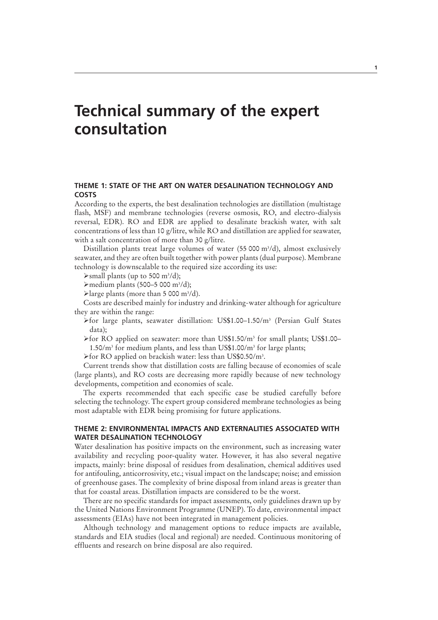## **Technical summary of the expert consultation**

## **THEME 1: STATE OF THE ART ON WATER DESALINATION TECHNOLOGY AND COSTS**

According to the experts, the best desalination technologies are distillation (multistage flash, MSF) and membrane technologies (reverse osmosis, RO, and electro-dialysis reversal, EDR). RO and EDR are applied to desalinate brackish water, with salt concentrations of less than 10 g/litre, while RO and distillation are applied for seawater, with a salt concentration of more than 30 g/litre.

Distillation plants treat large volumes of water (55 000 m<sup>3</sup>/d), almost exclusively seawater, and they are often built together with power plants (dual purpose). Membrane technology is downscalable to the required size according its use:

 $\blacktriangleright$ small plants (up to 500 m<sup>3</sup>/d);

 $\blacktriangleright$  medium plants (500-5 000 m<sup>3</sup>/d);

>large plants (more than 5 000 m<sup>3</sup>/d).

Costs are described mainly for industry and drinking-water although for agriculture they are within the range:

- ÿfor large plants, seawater distillation: US\$1.00–1.50/m3 (Persian Gulf States data);
- >for RO applied on seawater: more than US\$1.50/m<sup>3</sup> for small plants; US\$1.00-1.50/m3 for medium plants, and less than US\$1.00/m3 for large plants;

>for RO applied on brackish water: less than US\$0.50/m<sup>3</sup>.

Current trends show that distillation costs are falling because of economies of scale (large plants), and RO costs are decreasing more rapidly because of new technology developments, competition and economies of scale.

The experts recommended that each specific case be studied carefully before selecting the technology. The expert group considered membrane technologies as being most adaptable with EDR being promising for future applications.

## **THEME 2: ENVIRONMENTAL IMPACTS AND EXTERNALITIES ASSOCIATED WITH WATER DESALINATION TECHNOLOGY**

Water desalination has positive impacts on the environment, such as increasing water availability and recycling poor-quality water. However, it has also several negative impacts, mainly: brine disposal of residues from desalination, chemical additives used for antifouling, anticorrosivity, etc.; visual impact on the landscape; noise; and emission of greenhouse gases. The complexity of brine disposal from inland areas is greater than that for coastal areas. Distillation impacts are considered to be the worst.

There are no specific standards for impact assessments, only guidelines drawn up by the United Nations Environment Programme (UNEP). To date, environmental impact assessments (EIAs) have not been integrated in management policies.

Although technology and management options to reduce impacts are available, standards and EIA studies (local and regional) are needed. Continuous monitoring of effluents and research on brine disposal are also required.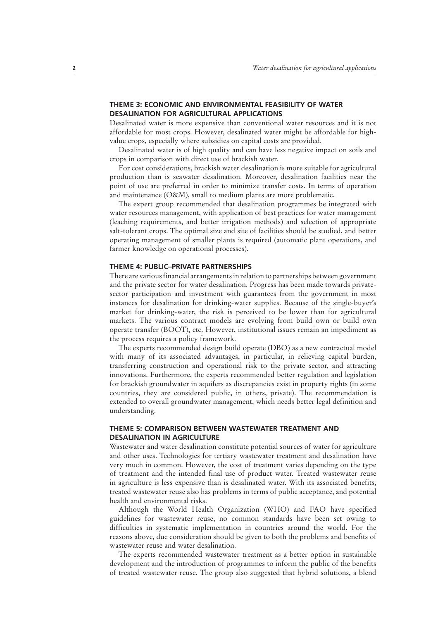## **THEME 3: ECONOMIC AND ENVIRONMENTAL FEASIBILITY OF WATER DESALINATION FOR AGRICULTURAL APPLICATIONS**

Desalinated water is more expensive than conventional water resources and it is not affordable for most crops. However, desalinated water might be affordable for highvalue crops, especially where subsidies on capital costs are provided.

Desalinated water is of high quality and can have less negative impact on soils and crops in comparison with direct use of brackish water.

For cost considerations, brackish water desalination is more suitable for agricultural production than is seawater desalination. Moreover, desalination facilities near the point of use are preferred in order to minimize transfer costs. In terms of operation and maintenance (O&M), small to medium plants are more problematic.

The expert group recommended that desalination programmes be integrated with water resources management, with application of best practices for water management (leaching requirements, and better irrigation methods) and selection of appropriate salt-tolerant crops. The optimal size and site of facilities should be studied, and better operating management of smaller plants is required (automatic plant operations, and farmer knowledge on operational processes).

### **THEME 4: PUBLIC–PRIVATE PARTNERSHIPS**

There are various financial arrangements in relation to partnerships between government and the private sector for water desalination. Progress has been made towards privatesector participation and investment with guarantees from the government in most instances for desalination for drinking-water supplies. Because of the single-buyer's market for drinking-water, the risk is perceived to be lower than for agricultural markets. The various contract models are evolving from build own or build own operate transfer (BOOT), etc. However, institutional issues remain an impediment as the process requires a policy framework.

The experts recommended design build operate (DBO) as a new contractual model with many of its associated advantages, in particular, in relieving capital burden, transferring construction and operational risk to the private sector, and attracting innovations. Furthermore, the experts recommended better regulation and legislation for brackish groundwater in aquifers as discrepancies exist in property rights (in some countries, they are considered public, in others, private). The recommendation is extended to overall groundwater management, which needs better legal definition and understanding.

## **THEME 5: COMPARISON BETWEEN WASTEWATER TREATMENT AND DESALINATION IN AGRICULTURE**

Wastewater and water desalination constitute potential sources of water for agriculture and other uses. Technologies for tertiary wastewater treatment and desalination have very much in common. However, the cost of treatment varies depending on the type of treatment and the intended final use of product water. Treated wastewater reuse in agriculture is less expensive than is desalinated water. With its associated benefits, treated wastewater reuse also has problems in terms of public acceptance, and potential health and environmental risks.

Although the World Health Organization (WHO) and FAO have specified guidelines for wastewater reuse, no common standards have been set owing to difficulties in systematic implementation in countries around the world. For the reasons above, due consideration should be given to both the problems and benefits of wastewater reuse and water desalination.

The experts recommended wastewater treatment as a better option in sustainable development and the introduction of programmes to inform the public of the benefits of treated wastewater reuse. The group also suggested that hybrid solutions, a blend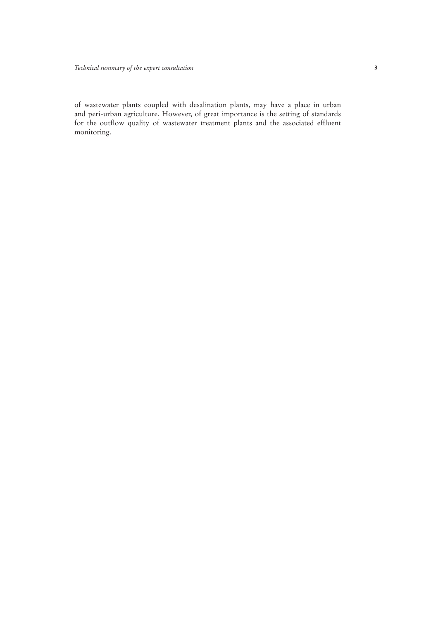of wastewater plants coupled with desalination plants, may have a place in urban and peri-urban agriculture. However, of great importance is the setting of standards for the outflow quality of wastewater treatment plants and the associated effluent monitoring.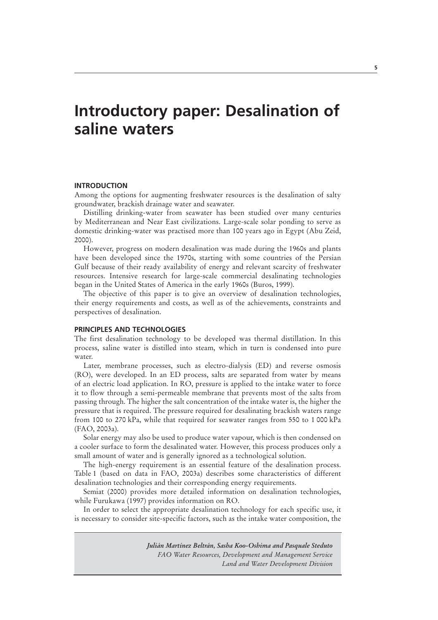## **Introductory paper: Desalination of saline waters**

#### **INTRODUCTION**

Among the options for augmenting freshwater resources is the desalination of salty groundwater, brackish drainage water and seawater.

Distilling drinking-water from seawater has been studied over many centuries by Mediterranean and Near East civilizations. Large-scale solar ponding to serve as domestic drinking-water was practised more than 100 years ago in Egypt (Abu Zeid, 2000).

However, progress on modern desalination was made during the 1960s and plants have been developed since the 1970s, starting with some countries of the Persian Gulf because of their ready availability of energy and relevant scarcity of freshwater resources. Intensive research for large-scale commercial desalinating technologies began in the United States of America in the early 1960s (Buros, 1999).

The objective of this paper is to give an overview of desalination technologies, their energy requirements and costs, as well as of the achievements, constraints and perspectives of desalination.

### **PRINCIPLES AND TECHNOLOGIES**

The first desalination technology to be developed was thermal distillation. In this process, saline water is distilled into steam, which in turn is condensed into pure water.

Later, membrane processes, such as electro-dialysis (ED) and reverse osmosis (RO), were developed. In an ED process, salts are separated from water by means of an electric load application. In RO, pressure is applied to the intake water to force it to flow through a semi-permeable membrane that prevents most of the salts from passing through. The higher the salt concentration of the intake water is, the higher the pressure that is required. The pressure required for desalinating brackish waters range from 100 to 270 kPa, while that required for seawater ranges from 550 to 1 000 kPa (FAO, 2003a).

Solar energy may also be used to produce water vapour, which is then condensed on a cooler surface to form the desalinated water. However, this process produces only a small amount of water and is generally ignored as a technological solution.

The high-energy requirement is an essential feature of the desalination process. Table 1 (based on data in FAO, 2003a) describes some characteristics of different desalination technologies and their corresponding energy requirements.

Semiat (2000) provides more detailed information on desalination technologies, while Furukawa (1997) provides information on RO.

In order to select the appropriate desalination technology for each specific use, it is necessary to consider site-specific factors, such as the intake water composition, the

> *Julián Martínez Beltrán, Sasha Koo-Oshima and Pasquale Steduto FAO Water Resources, Development and Management Service Land and Water Development Division*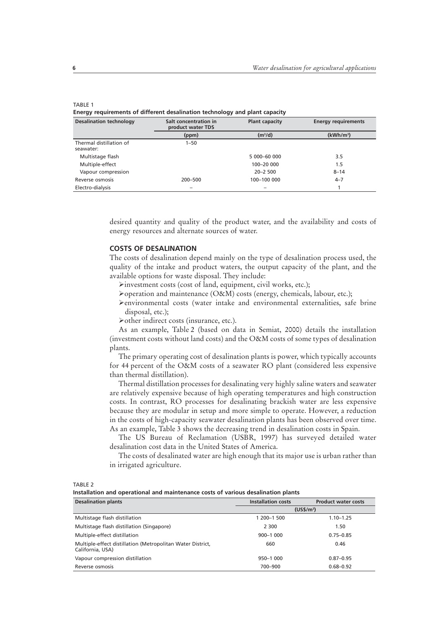#### TABLE 1

**Energy requirements of different desalination technology and plant capacity**

| <b>Desalination technology</b>       | Salt concentration in<br>product water TDS | <b>Plant capacity</b> | <b>Energy requirements</b> |
|--------------------------------------|--------------------------------------------|-----------------------|----------------------------|
|                                      | (ppm)                                      | (m <sup>3</sup> /d)   | (kWh/m <sup>3</sup> )      |
| Thermal distillation of<br>seawater: | $1 - 50$                                   |                       |                            |
| Multistage flash                     |                                            | 5 000-60 000          | 3.5                        |
| Multiple-effect                      |                                            | 100-20 000            | 1.5                        |
| Vapour compression                   |                                            | $20 - 2500$           | $8 - 14$                   |
| Reverse osmosis                      | 200-500                                    | 100-100 000           | $4 - 7$                    |
| Electro-dialysis                     |                                            |                       |                            |

desired quantity and quality of the product water, and the availability and costs of energy resources and alternate sources of water.

## **COSTS OF DESALINATION**

The costs of desalination depend mainly on the type of desalination process used, the quality of the intake and product waters, the output capacity of the plant, and the available options for waste disposal. They include:

- $\blacktriangleright$  investment costs (cost of land, equipment, civil works, etc.);
- ÿoperation and maintenance (O&M) costs (energy, chemicals, labour, etc.);
- ÿenvironmental costs (water intake and environmental externalities, safe brine disposal, etc.);
- ÿother indirect costs (insurance, etc.).

As an example, Table 2 (based on data in Semiat, 2000) details the installation (investment costs without land costs) and the O&M costs of some types of desalination plants.

The primary operating cost of desalination plants is power, which typically accounts for 44 percent of the O&M costs of a seawater RO plant (considered less expensive than thermal distillation).

Thermal distillation processes for desalinating very highly saline waters and seawater are relatively expensive because of high operating temperatures and high construction costs. In contrast, RO processes for desalinating brackish water are less expensive because they are modular in setup and more simple to operate. However, a reduction in the costs of high-capacity seawater desalination plants has been observed over time. As an example, Table 3 shows the decreasing trend in desalination costs in Spain.

The US Bureau of Reclamation (USBR, 1997) has surveyed detailed water desalination cost data in the United States of America.

The costs of desalinated water are high enough that its major use is urban rather than in irrigated agriculture.

TARI F<sub>2</sub>

**Installation and operational and maintenance costs of various desalination plants**

| <b>Desalination plants</b>                                                     | <b>Installation costs</b> | <b>Product water costs</b> |
|--------------------------------------------------------------------------------|---------------------------|----------------------------|
|                                                                                |                           | (US\$/m <sup>3</sup> )     |
| Multistage flash distillation                                                  | 1 200-1 500               | $1.10 - 1.25$              |
| Multistage flash distillation (Singapore)                                      | 2 300                     | 1.50                       |
| Multiple-effect distillation                                                   | $900 - 1000$              | $0.75 - 0.85$              |
| Multiple-effect distillation (Metropolitan Water District,<br>California, USA) | 660                       | 0.46                       |
| Vapour compression distillation                                                | 950-1 000                 | $0.87 - 0.95$              |
| Reverse osmosis                                                                | 700-900                   | $0.68 - 0.92$              |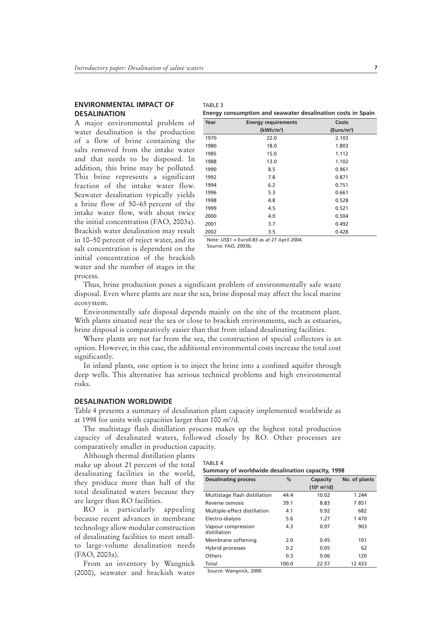## **ENVIRONMENTAL IMPACT OF DESALINATION**

A major environmental problem of water desalination is the production of a flow of brine containing the salts removed from the intake water and that needs to be disposed. In addition, this brine may be polluted. This brine represents a significant fraction of the intake water flow. Seawater desalination typically yields a brine flow of 50–65 percent of the intake water flow, with about twice the initial concentration (FAO, 2003a). Brackish water desalination may result in 10–50 percent of reject water, and its salt concentration is dependent on the initial concentration of the brackish water and the number of stages in the process.

| Vear    | <b>Energy requirements</b> | Costs                                                       |
|---------|----------------------------|-------------------------------------------------------------|
|         |                            | Energy consumption and seawater desalination costs in Spain |
| TABLE 3 |                            |                                                             |

| Year | <b>Energy requirements</b> | Costs                  |
|------|----------------------------|------------------------|
|      | (kWh/m <sup>3</sup> )      | (Euro/m <sup>3</sup> ) |
| 1970 | 22.0                       | 2.103                  |
| 1980 | 18.0                       | 1.803                  |
| 1985 | 15.0                       | 1.112                  |
| 1988 | 13.0                       | 1.102                  |
| 1990 | 8.5                        | 0.961                  |
| 1992 | 7.8                        | 0.871                  |
| 1994 | 6.2                        | 0.751                  |
| 1996 | 5.3                        | 0.661                  |
| 1998 | 4.8                        | 0.528                  |
| 1999 | 4.5                        | 0.521                  |
| 2000 | 4.0                        | 0.504                  |
| 2001 | 3.7                        | 0.492                  |
| 2002 | 3.5                        | 0.428                  |

Note: US\$1 = Euro0.83 as at 27 April 2004. Source: FAO, 2003b.

Thus, brine production poses a significant problem of environmentally safe waste disposal. Even where plants are near the sea, brine disposal may affect the local marine ecosystem.

Environmentally safe disposal depends mainly on the site of the treatment plant. With plants situated near the sea or close to brackish environments, such as estuaries, brine disposal is comparatively easier than that from inland desalinating facilities.

Where plants are not far from the sea, the construction of special collectors is an option. However, in this case, the additional environmental costs increase the total cost significantly.

In inland plants, one option is to inject the brine into a confined aquifer through deep wells. This alternative has serious technical problems and high environmental risks.

## **DESALINATION WORLDWIDE**

Table 4 presents a summary of desalination plant capacity implemented worldwide as at 1998 for units with capacities larger than 100 m3 /d.

The multistage flash distillation process makes up the highest total production capacity of desalinated waters, followed closely by RO. Other processes are comparatively smaller in production capacity.

Although thermal distillation plants

make up about 21 percent of the total desalinating facilities in the world, they produce more than half of the total desalinated waters because they are larger than RO facilities.

RO is particularly appealing because recent advances in membrane technology allow modular construction of desalinating facilities to meet smallto large-volume desalination needs (FAO, 2003a).

From an inventory by Wangnick (2000), seawater and brackish water

| TABLE 4                                          |  |
|--------------------------------------------------|--|
| Summary of worldwide desalination capacity, 1998 |  |

| <b>Desalinating process</b>        | $\%$  | Capacity                      | No. of plants |
|------------------------------------|-------|-------------------------------|---------------|
|                                    |       | $(10^6 \text{ m}^3/\text{d})$ |               |
| Multistage flash distillation      | 44.4  | 10.02                         | 1 244         |
| Reverse osmosis                    | 39.1  | 8.83                          | 7851          |
| Multiple-effect distillation       | 4.1   | 0.92                          | 682           |
| Electro-dialysis                   | 5.6   | 1.27                          | 1 470         |
| Vapour compression<br>distillation | 4.3   | 0.97                          | 903           |
| Membrane softening                 | 2.0   | 0.45                          | 101           |
| Hybrid processes                   | 0.2   | 0.05                          | 62            |
| Others                             | 0.3   | 0.06                          | 120           |
| Total                              | 100.0 | 22.57                         | 12 433        |

Source: Wangnick, 2000.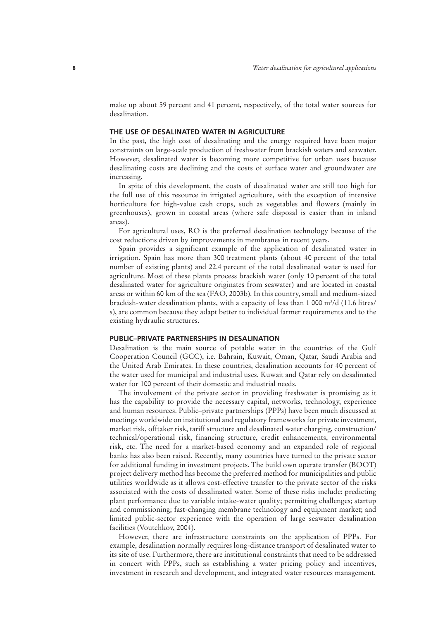make up about 59 percent and 41 percent, respectively, of the total water sources for desalination.

#### **THE USE OF DESALINATED WATER IN AGRICULTURE**

In the past, the high cost of desalinating and the energy required have been major constraints on large-scale production of freshwater from brackish waters and seawater. However, desalinated water is becoming more competitive for urban uses because desalinating costs are declining and the costs of surface water and groundwater are increasing.

In spite of this development, the costs of desalinated water are still too high for the full use of this resource in irrigated agriculture, with the exception of intensive horticulture for high-value cash crops, such as vegetables and flowers (mainly in greenhouses), grown in coastal areas (where safe disposal is easier than in inland areas).

For agricultural uses, RO is the preferred desalination technology because of the cost reductions driven by improvements in membranes in recent years.

Spain provides a significant example of the application of desalinated water in irrigation. Spain has more than 300 treatment plants (about 40 percent of the total number of existing plants) and 22.4 percent of the total desalinated water is used for agriculture. Most of these plants process brackish water (only 10 percent of the total desalinated water for agriculture originates from seawater) and are located in coastal areas or within 60 km of the sea (FAO, 2003b). In this country, small and medium-sized brackish-water desalination plants, with a capacity of less than 1 000 m<sup>3</sup>/d (11.6 litres/ s), are common because they adapt better to individual farmer requirements and to the existing hydraulic structures.

#### **PUBLIC–PRIVATE PARTNERSHIPS IN DESALINATION**

Desalination is the main source of potable water in the countries of the Gulf Cooperation Council (GCC), i.e. Bahrain, Kuwait, Oman, Qatar, Saudi Arabia and the United Arab Emirates. In these countries, desalination accounts for 40 percent of the water used for municipal and industrial uses. Kuwait and Qatar rely on desalinated water for 100 percent of their domestic and industrial needs.

The involvement of the private sector in providing freshwater is promising as it has the capability to provide the necessary capital, networks, technology, experience and human resources. Public–private partnerships (PPPs) have been much discussed at meetings worldwide on institutional and regulatory frameworks for private investment, market risk, offtaker risk, tariff structure and desalinated water charging, construction/ technical/operational risk, financing structure, credit enhancements, environmental risk, etc. The need for a market-based economy and an expanded role of regional banks has also been raised. Recently, many countries have turned to the private sector for additional funding in investment projects. The build own operate transfer (BOOT) project delivery method has become the preferred method for municipalities and public utilities worldwide as it allows cost-effective transfer to the private sector of the risks associated with the costs of desalinated water. Some of these risks include: predicting plant performance due to variable intake-water quality; permitting challenges; startup and commissioning; fast-changing membrane technology and equipment market; and limited public-sector experience with the operation of large seawater desalination facilities (Voutchkov, 2004).

However, there are infrastructure constraints on the application of PPPs. For example, desalination normally requires long-distance transport of desalinated water to its site of use. Furthermore, there are institutional constraints that need to be addressed in concert with PPPs, such as establishing a water pricing policy and incentives, investment in research and development, and integrated water resources management.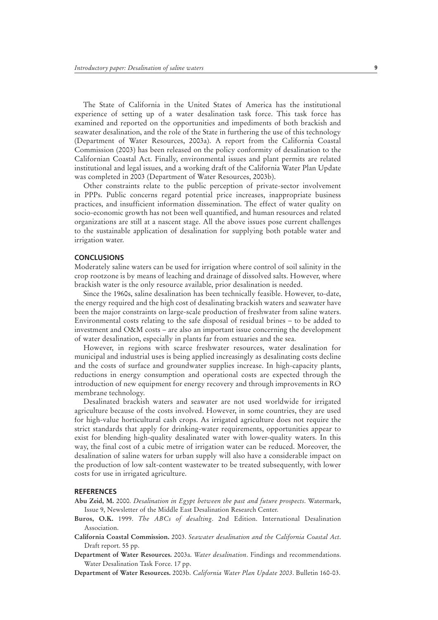The State of California in the United States of America has the institutional experience of setting up of a water desalination task force. This task force has examined and reported on the opportunities and impediments of both brackish and seawater desalination, and the role of the State in furthering the use of this technology (Department of Water Resources, 2003a). A report from the California Coastal Commission (2003) has been released on the policy conformity of desalination to the Californian Coastal Act. Finally, environmental issues and plant permits are related institutional and legal issues, and a working draft of the California Water Plan Update was completed in 2003 (Department of Water Resources, 2003b).

Other constraints relate to the public perception of private-sector involvement in PPPs. Public concerns regard potential price increases, inappropriate business practices, and insufficient information dissemination. The effect of water quality on socio-economic growth has not been well quantified, and human resources and related organizations are still at a nascent stage. All the above issues pose current challenges to the sustainable application of desalination for supplying both potable water and irrigation water.

#### **CONCLUSIONS**

Moderately saline waters can be used for irrigation where control of soil salinity in the crop rootzone is by means of leaching and drainage of dissolved salts. However, where brackish water is the only resource available, prior desalination is needed.

Since the 1960s, saline desalination has been technically feasible. However, to-date, the energy required and the high cost of desalinating brackish waters and seawater have been the major constraints on large-scale production of freshwater from saline waters. Environmental costs relating to the safe disposal of residual brines – to be added to investment and O&M costs – are also an important issue concerning the development of water desalination, especially in plants far from estuaries and the sea.

However, in regions with scarce freshwater resources, water desalination for municipal and industrial uses is being applied increasingly as desalinating costs decline and the costs of surface and groundwater supplies increase. In high-capacity plants, reductions in energy consumption and operational costs are expected through the introduction of new equipment for energy recovery and through improvements in RO membrane technology.

Desalinated brackish waters and seawater are not used worldwide for irrigated agriculture because of the costs involved. However, in some countries, they are used for high-value horticultural cash crops. As irrigated agriculture does not require the strict standards that apply for drinking-water requirements, opportunities appear to exist for blending high-quality desalinated water with lower-quality waters. In this way, the final cost of a cubic metre of irrigation water can be reduced. Moreover, the desalination of saline waters for urban supply will also have a considerable impact on the production of low salt-content wastewater to be treated subsequently, with lower costs for use in irrigated agriculture.

#### **REFERENCES**

- **Abu Zeid, M.** 2000. *Desalination in Egypt between the past and future prospects*. Watermark, Issue 9, Newsletter of the Middle East Desalination Research Center.
- **Buros, O.K.** 1999. *The ABCs of desalting*. 2nd Edition. International Desalination Association.
- **California Coastal Commission.** 2003. *Seawater desalination and the California Coastal Act*. Draft report. 55 pp.
- **Department of Water Resources.** 2003a. *Water desalination*. Findings and recommendations. Water Desalination Task Force. 17 pp.
- **Department of Water Resources.** 2003b. *California Water Plan Update 2003*. Bulletin 160-03.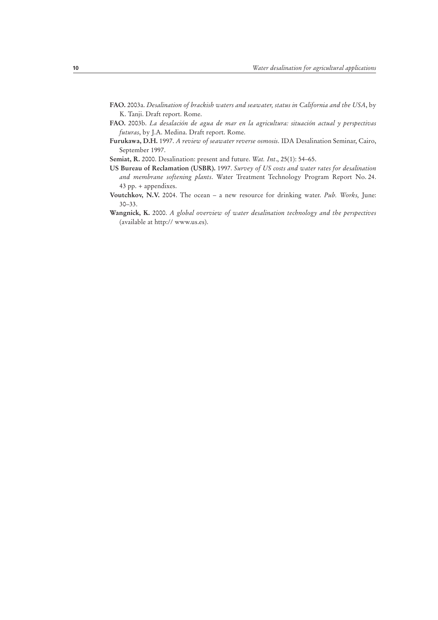- **FAO.** 2003a. *Desalination of brackish waters and seawater, status in California and the USA*, by K. Tanji. Draft report. Rome.
- **FAO.** 2003b. *La desalación de agua de mar en la agricultura: situación actual y perspectivas futuras*, by J.A. Medina. Draft report. Rome.
- **Furukawa, D.H.** 1997. *A review of seawater reverse osmosis*. IDA Desalination Seminar, Cairo, September 1997.
- **Semiat, R.** 2000. Desalination: present and future. *Wat. Int*., 25(1): 54–65.
- **US Bureau of Reclamation (USBR).** 1997. *Survey of US costs and water rates for desalination and membrane softening plants*. Water Treatment Technology Program Report No. 24. 43 pp. + appendixes.
- **Voutchkov, N.V.** 2004. The ocean a new resource for drinking water. *Pub. Works,* June: 30–33.
- **Wangnick, K.** 2000. *A global overview of water desalination technology and the perspectives* (available at http:// www.us.es).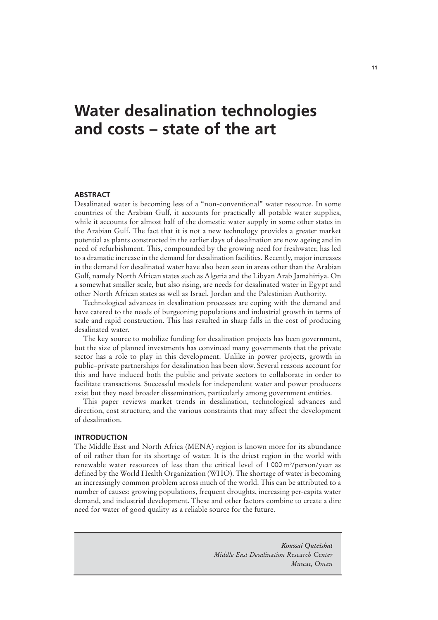## **Water desalination technologies and costs – state of the art**

## **ABSTRACT**

Desalinated water is becoming less of a "non-conventional" water resource. In some countries of the Arabian Gulf, it accounts for practically all potable water supplies, while it accounts for almost half of the domestic water supply in some other states in the Arabian Gulf. The fact that it is not a new technology provides a greater market potential as plants constructed in the earlier days of desalination are now ageing and in need of refurbishment. This, compounded by the growing need for freshwater, has led to a dramatic increase in the demand for desalination facilities. Recently, major increases in the demand for desalinated water have also been seen in areas other than the Arabian Gulf, namely North African states such as Algeria and the Libyan Arab Jamahiriya. On a somewhat smaller scale, but also rising, are needs for desalinated water in Egypt and other North African states as well as Israel, Jordan and the Palestinian Authority.

Technological advances in desalination processes are coping with the demand and have catered to the needs of burgeoning populations and industrial growth in terms of scale and rapid construction. This has resulted in sharp falls in the cost of producing desalinated water.

The key source to mobilize funding for desalination projects has been government, but the size of planned investments has convinced many governments that the private sector has a role to play in this development. Unlike in power projects, growth in public–private partnerships for desalination has been slow. Several reasons account for this and have induced both the public and private sectors to collaborate in order to facilitate transactions. Successful models for independent water and power producers exist but they need broader dissemination, particularly among government entities.

This paper reviews market trends in desalination, technological advances and direction, cost structure, and the various constraints that may affect the development of desalination.

#### **INTRODUCTION**

The Middle East and North Africa (MENA) region is known more for its abundance of oil rather than for its shortage of water. It is the driest region in the world with renewable water resources of less than the critical level of 1 000 m3 /person/year as defined by the World Health Organization (WHO). The shortage of water is becoming an increasingly common problem across much of the world. This can be attributed to a number of causes: growing populations, frequent droughts, increasing per-capita water demand, and industrial development. These and other factors combine to create a dire need for water of good quality as a reliable source for the future.

> *Koussai Quteishat Middle East Desalination Research Center Muscat, Oman*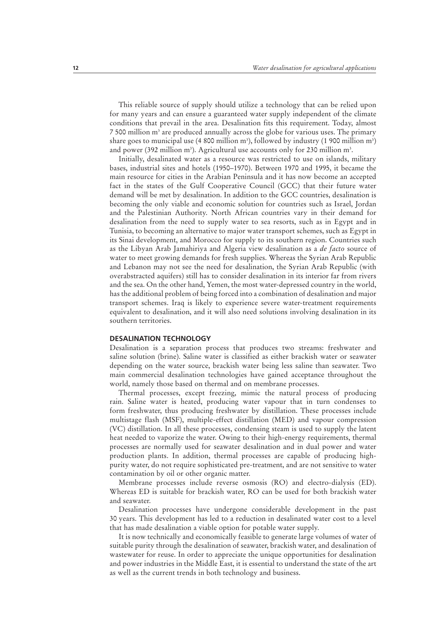This reliable source of supply should utilize a technology that can be relied upon for many years and can ensure a guaranteed water supply independent of the climate conditions that prevail in the area. Desalination fits this requirement. Today, almost 7 500 million m<sup>3</sup> are produced annually across the globe for various uses. The primary share goes to municipal use (4 800 million m<sup>3</sup>), followed by industry (1 900 million m<sup>3</sup>) and power (392 million m<sup>3</sup>). Agricultural use accounts only for 230 million m<sup>3</sup>.

Initially, desalinated water as a resource was restricted to use on islands, military bases, industrial sites and hotels (1950–1970). Between 1970 and 1995, it became the main resource for cities in the Arabian Peninsula and it has now become an accepted fact in the states of the Gulf Cooperative Council (GCC) that their future water demand will be met by desalination. In addition to the GCC countries, desalination is becoming the only viable and economic solution for countries such as Israel, Jordan and the Palestinian Authority. North African countries vary in their demand for desalination from the need to supply water to sea resorts, such as in Egypt and in Tunisia, to becoming an alternative to major water transport schemes, such as Egypt in its Sinai development, and Morocco for supply to its southern region. Countries such as the Libyan Arab Jamahiriya and Algeria view desalination as a *de facto* source of water to meet growing demands for fresh supplies. Whereas the Syrian Arab Republic and Lebanon may not see the need for desalination, the Syrian Arab Republic (with overabstracted aquifers) still has to consider desalination in its interior far from rivers and the sea. On the other hand, Yemen, the most water-depressed country in the world, has the additional problem of being forced into a combination of desalination and major transport schemes. Iraq is likely to experience severe water-treatment requirements equivalent to desalination, and it will also need solutions involving desalination in its southern territories.

#### **DESALINATION TECHNOLOGY**

Desalination is a separation process that produces two streams: freshwater and saline solution (brine). Saline water is classified as either brackish water or seawater depending on the water source, brackish water being less saline than seawater. Two main commercial desalination technologies have gained acceptance throughout the world, namely those based on thermal and on membrane processes.

Thermal processes, except freezing, mimic the natural process of producing rain. Saline water is heated, producing water vapour that in turn condenses to form freshwater, thus producing freshwater by distillation. These processes include multistage flash (MSF), multiple-effect distillation (MED) and vapour compression (VC) distillation. In all these processes, condensing steam is used to supply the latent heat needed to vaporize the water. Owing to their high-energy requirements, thermal processes are normally used for seawater desalination and in dual power and water production plants. In addition, thermal processes are capable of producing highpurity water, do not require sophisticated pre-treatment, and are not sensitive to water contamination by oil or other organic matter.

Membrane processes include reverse osmosis (RO) and electro-dialysis (ED). Whereas ED is suitable for brackish water, RO can be used for both brackish water and seawater.

Desalination processes have undergone considerable development in the past 30 years. This development has led to a reduction in desalinated water cost to a level that has made desalination a viable option for potable water supply.

It is now technically and economically feasible to generate large volumes of water of suitable purity through the desalination of seawater, brackish water, and desalination of wastewater for reuse. In order to appreciate the unique opportunities for desalination and power industries in the Middle East, it is essential to understand the state of the art as well as the current trends in both technology and business.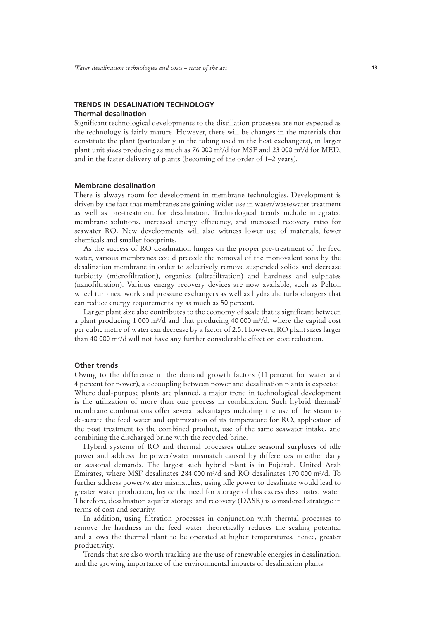#### **TRENDS IN DESALINATION TECHNOLOGY Thermal desalination**

Significant technological developments to the distillation processes are not expected as the technology is fairly mature. However, there will be changes in the materials that constitute the plant (particularly in the tubing used in the heat exchangers), in larger plant unit sizes producing as much as 76 000 m<sup>3</sup>/d for MSF and 23 000 m<sup>3</sup>/d for MED, and in the faster delivery of plants (becoming of the order of 1–2 years).

#### **Membrane desalination**

There is always room for development in membrane technologies. Development is driven by the fact that membranes are gaining wider use in water/wastewater treatment as well as pre-treatment for desalination. Technological trends include integrated membrane solutions, increased energy efficiency, and increased recovery ratio for seawater RO. New developments will also witness lower use of materials, fewer chemicals and smaller footprints.

As the success of RO desalination hinges on the proper pre-treatment of the feed water, various membranes could precede the removal of the monovalent ions by the desalination membrane in order to selectively remove suspended solids and decrease turbidity (microfiltration), organics (ultrafiltration) and hardness and sulphates (nanofiltration). Various energy recovery devices are now available, such as Pelton wheel turbines, work and pressure exchangers as well as hydraulic turbochargers that can reduce energy requirements by as much as 50 percent.

Larger plant size also contributes to the economy of scale that is significant between a plant producing 1 000 m3 /d and that producing 40 000 m3 /d, where the capital cost per cubic metre of water can decrease by a factor of 2.5. However, RO plant sizes larger than 40 000 m3 /d will not have any further considerable effect on cost reduction.

#### **Other trends**

Owing to the difference in the demand growth factors (11 percent for water and 4 percent for power), a decoupling between power and desalination plants is expected. Where dual-purpose plants are planned, a major trend in technological development is the utilization of more than one process in combination. Such hybrid thermal/ membrane combinations offer several advantages including the use of the steam to de-aerate the feed water and optimization of its temperature for RO, application of the post treatment to the combined product, use of the same seawater intake, and combining the discharged brine with the recycled brine.

Hybrid systems of RO and thermal processes utilize seasonal surpluses of idle power and address the power/water mismatch caused by differences in either daily or seasonal demands. The largest such hybrid plant is in Fujeirah, United Arab Emirates, where MSF desalinates 284 000  $\mathrm{m}^3/\mathrm{d}$  and RO desalinates 170 000  $\mathrm{m}^3/\mathrm{d}$ . To further address power/water mismatches, using idle power to desalinate would lead to greater water production, hence the need for storage of this excess desalinated water. Therefore, desalination aquifer storage and recovery (DASR) is considered strategic in terms of cost and security.

In addition, using filtration processes in conjunction with thermal processes to remove the hardness in the feed water theoretically reduces the scaling potential and allows the thermal plant to be operated at higher temperatures, hence, greater productivity.

Trends that are also worth tracking are the use of renewable energies in desalination, and the growing importance of the environmental impacts of desalination plants.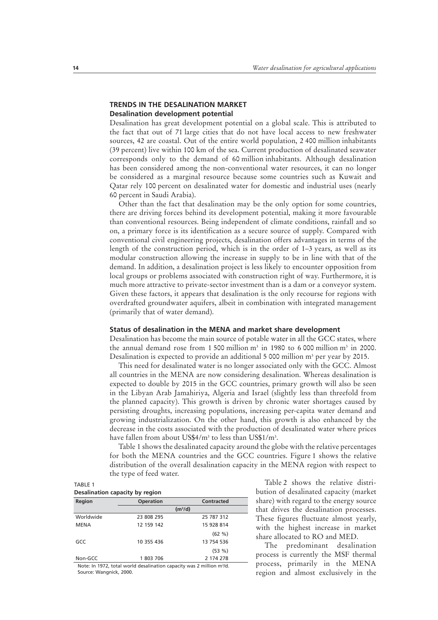## **TRENDS IN THE DESALINATION MARKET Desalination development potential**

Desalination has great development potential on a global scale. This is attributed to the fact that out of 71 large cities that do not have local access to new freshwater sources, 42 are coastal. Out of the entire world population, 2 400 million inhabitants (39 percent) live within 100 km of the sea. Current production of desalinated seawater corresponds only to the demand of 60 million inhabitants. Although desalination has been considered among the non-conventional water resources, it can no longer be considered as a marginal resource because some countries such as Kuwait and Qatar rely 100 percent on desalinated water for domestic and industrial uses (nearly 60 percent in Saudi Arabia).

Other than the fact that desalination may be the only option for some countries, there are driving forces behind its development potential, making it more favourable than conventional resources. Being independent of climate conditions, rainfall and so on, a primary force is its identification as a secure source of supply. Compared with conventional civil engineering projects, desalination offers advantages in terms of the length of the construction period, which is in the order of 1–3 years, as well as its modular construction allowing the increase in supply to be in line with that of the demand. In addition, a desalination project is less likely to encounter opposition from local groups or problems associated with construction right of way. Furthermore, it is much more attractive to private-sector investment than is a dam or a conveyor system. Given these factors, it appears that desalination is the only recourse for regions with overdrafted groundwater aquifers, albeit in combination with integrated management (primarily that of water demand).

## **Status of desalination in the MENA and market share development**

Desalination has become the main source of potable water in all the GCC states, where the annual demand rose from 1 500 million  $m<sup>3</sup>$  in 1980 to 6 000 million  $m<sup>3</sup>$  in 2000. Desalination is expected to provide an additional 5 000 million  $m^3$  per year by 2015.

This need for desalinated water is no longer associated only with the GCC. Almost all countries in the MENA are now considering desalination. Whereas desalination is expected to double by 2015 in the GCC countries, primary growth will also be seen in the Libyan Arab Jamahiriya, Algeria and Israel (slightly less than threefold from the planned capacity). This growth is driven by chronic water shortages caused by persisting droughts, increasing populations, increasing per-capita water demand and growing industrialization. On the other hand, this growth is also enhanced by the decrease in the costs associated with the production of desalinated water where prices have fallen from about US\$4/m<sup>3</sup> to less than US\$1/m<sup>3</sup>.

Table 1 shows the desalinated capacity around the globe with the relative percentages for both the MENA countries and the GCC countries. Figure 1 shows the relative distribution of the overall desalination capacity in the MENA region with respect to the type of feed water.

#### TABLE 1 **Desalination capacity by region**

| Desalitation capacity by region                                                   |                  |                     |  |
|-----------------------------------------------------------------------------------|------------------|---------------------|--|
| Region                                                                            | <b>Operation</b> | <b>Contracted</b>   |  |
|                                                                                   |                  | (m <sup>3</sup> /d) |  |
| Worldwide                                                                         | 23 808 295       | 25 787 312          |  |
| <b>MENA</b>                                                                       | 12 159 142       | 15 928 814          |  |
|                                                                                   |                  | (62 %)              |  |
| GCC                                                                               | 10 355 436       | 13 754 536          |  |
|                                                                                   |                  | (53%)               |  |
| Non-GCC                                                                           | 1803 706         | 2 174 278           |  |
| Note: In 1972, total world desalination capacity was 2 million m <sup>3</sup> /d. |                  |                     |  |

Source: Wangnick, 2000.

Table 2 shows the relative distribution of desalinated capacity (market share) with regard to the energy source that drives the desalination processes. These figures fluctuate almost yearly, with the highest increase in market share allocated to RO and MED.

The predominant desalination process is currently the MSF thermal process, primarily in the MENA region and almost exclusively in the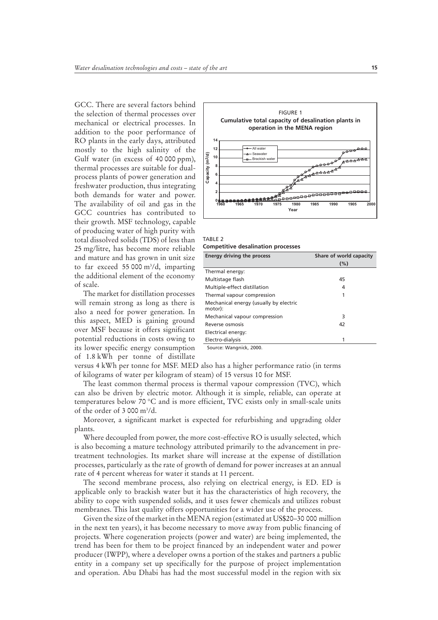GCC. There are several factors behind the selection of thermal processes over mechanical or electrical processes. In addition to the poor performance of RO plants in the early days, attributed mostly to the high salinity of the Gulf water (in excess of 40 000 ppm), thermal processes are suitable for dualprocess plants of power generation and freshwater production, thus integrating both demands for water and power. The availability of oil and gas in the GCC countries has contributed to their growth. MSF technology, capable of producing water of high purity with total dissolved solids (TDS) of less than 25 mg/litre, has become more reliable and mature and has grown in unit size to far exceed 55 000 m3 /d, imparting the additional element of the economy of scale.

The market for distillation processes will remain strong as long as there is also a need for power generation. In this aspect, MED is gaining ground over MSF because it offers significant potential reductions in costs owing to its lower specific energy consumption of 1.8 kWh per tonne of distillate



TABLE 2 **Competitive desalination processes**

| Energy driving the process                        | Share of world capacity |  |
|---------------------------------------------------|-------------------------|--|
|                                                   | (%)                     |  |
| Thermal energy:                                   |                         |  |
| Multistage flash                                  | 45                      |  |
| Multiple-effect distillation                      | 4                       |  |
| Thermal vapour compression                        |                         |  |
| Mechanical energy (usually by electric<br>motor): |                         |  |
| Mechanical vapour compression                     | 3                       |  |
| Reverse osmosis                                   | 42                      |  |
| Electrical energy:                                |                         |  |
| Electro-dialysis                                  |                         |  |
|                                                   |                         |  |

Source: Wangnick, 2000.

versus 4 kWh per tonne for MSF. MED also has a higher performance ratio (in terms of kilograms of water per kilogram of steam) of 15 versus 10 for MSF.

The least common thermal process is thermal vapour compression (TVC), which can also be driven by electric motor. Although it is simple, reliable, can operate at temperatures below 70 °C and is more efficient, TVC exists only in small-scale units of the order of  $3000 \text{ m}^3/\text{d}$ .

Moreover, a significant market is expected for refurbishing and upgrading older plants.

Where decoupled from power, the more cost-effective RO is usually selected, which is also becoming a mature technology attributed primarily to the advancement in pretreatment technologies. Its market share will increase at the expense of distillation processes, particularly as the rate of growth of demand for power increases at an annual rate of 4 percent whereas for water it stands at 11 percent.

The second membrane process, also relying on electrical energy, is ED. ED is applicable only to brackish water but it has the characteristics of high recovery, the ability to cope with suspended solids, and it uses fewer chemicals and utilizes robust membranes. This last quality offers opportunities for a wider use of the process.

Given the size of the market in the MENA region (estimated at US\$20–30 000 million in the next ten years), it has become necessary to move away from public financing of projects. Where cogeneration projects (power and water) are being implemented, the trend has been for them to be project financed by an independent water and power producer (IWPP), where a developer owns a portion of the stakes and partners a public entity in a company set up specifically for the purpose of project implementation and operation. Abu Dhabi has had the most successful model in the region with six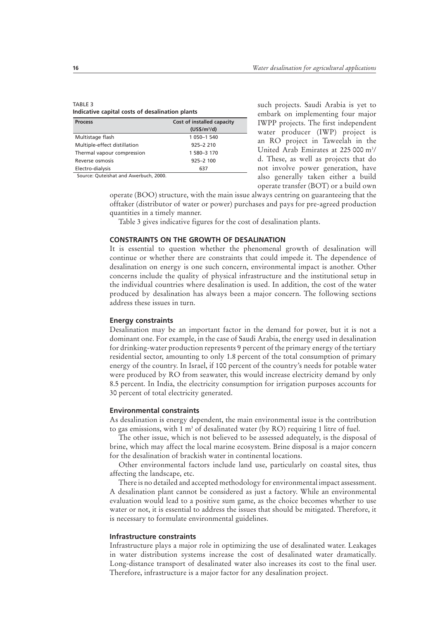| TABLE 3                                         |  |
|-------------------------------------------------|--|
| Indicative capital costs of desalination plants |  |

| <b>Process</b>                        | Cost of installed capacity |
|---------------------------------------|----------------------------|
|                                       | $(US$/m^3/d)$              |
| Multistage flash                      | 1 050-1 540                |
| Multiple-effect distillation          | $925 - 2210$               |
| Thermal vapour compression            | 1 580-3 170                |
| Reverse osmosis                       | $925 - 2100$               |
| Electro-dialysis                      | 637                        |
| Source: Outeishat and Awerbuch, 2000. |                            |

such projects. Saudi Arabia is yet to embark on implementing four major IWPP projects. The first independent water producer (IWP) project is an RO project in Taweelah in the United Arab Emirates at 225 000 m<sup>3</sup>/ d. These, as well as projects that do not involve power generation, have also generally taken either a build operate transfer (BOT) or a build own

operate (BOO) structure, with the main issue always centring on guaranteeing that the offtaker (distributor of water or power) purchases and pays for pre-agreed production quantities in a timely manner.

Table 3 gives indicative figures for the cost of desalination plants.

## **CONSTRAINTS ON THE GROWTH OF DESALINATION**

It is essential to question whether the phenomenal growth of desalination will continue or whether there are constraints that could impede it. The dependence of desalination on energy is one such concern, environmental impact is another. Other concerns include the quality of physical infrastructure and the institutional setup in the individual countries where desalination is used. In addition, the cost of the water produced by desalination has always been a major concern. The following sections address these issues in turn.

#### **Energy constraints**

Desalination may be an important factor in the demand for power, but it is not a dominant one. For example, in the case of Saudi Arabia, the energy used in desalination for drinking-water production represents 9 percent of the primary energy of the tertiary residential sector, amounting to only 1.8 percent of the total consumption of primary energy of the country. In Israel, if 100 percent of the country's needs for potable water were produced by RO from seawater, this would increase electricity demand by only 8.5 percent. In India, the electricity consumption for irrigation purposes accounts for 30 percent of total electricity generated.

#### **Environmental constraints**

As desalination is energy dependent, the main environmental issue is the contribution to gas emissions, with 1 m<sup>3</sup> of desalinated water (by RO) requiring 1 litre of fuel.

The other issue, which is not believed to be assessed adequately, is the disposal of brine, which may affect the local marine ecosystem. Brine disposal is a major concern for the desalination of brackish water in continental locations.

Other environmental factors include land use, particularly on coastal sites, thus affecting the landscape, etc.

There is no detailed and accepted methodology for environmental impact assessment. A desalination plant cannot be considered as just a factory. While an environmental evaluation would lead to a positive sum game, as the choice becomes whether to use water or not, it is essential to address the issues that should be mitigated. Therefore, it is necessary to formulate environmental guidelines.

## **Infrastructure constraints**

Infrastructure plays a major role in optimizing the use of desalinated water. Leakages in water distribution systems increase the cost of desalinated water dramatically. Long-distance transport of desalinated water also increases its cost to the final user. Therefore, infrastructure is a major factor for any desalination project.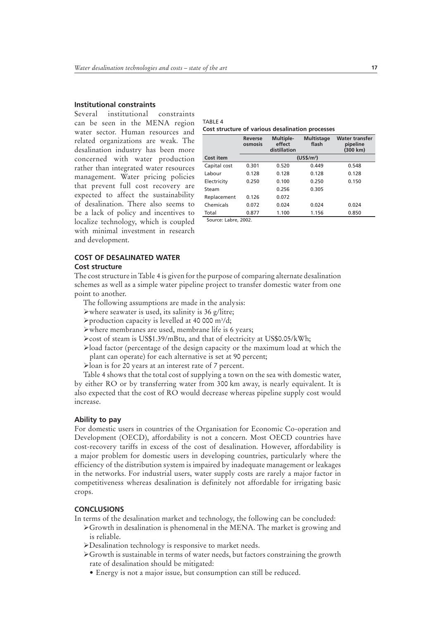## **Institutional constraints**

Several institutional constraints can be seen in the MENA region water sector. Human resources and related organizations are weak. The desalination industry has been more concerned with water production rather than integrated water resources management. Water pricing policies that prevent full cost recovery are expected to affect the sustainability of desalination. There also seems to be a lack of policy and incentives to localize technology, which is coupled with minimal investment in research and development.

TABLE 4 **Cost structure of various desalination processes**

|              | Reverse<br>osmosis | Multiple-<br>effect<br>distillation | <b>Multistage</b><br>flash | <b>Water transfer</b><br>pipeline<br>(300 km) |
|--------------|--------------------|-------------------------------------|----------------------------|-----------------------------------------------|
| Cost item    |                    |                                     | (US\$/m <sup>3</sup> )     |                                               |
| Capital cost | 0.301              | 0.520                               | 0.449                      | 0.548                                         |
| Labour       | 0.128              | 0.128                               | 0.128                      | 0.128                                         |
| Electricity  | 0.250              | 0.100                               | 0.250                      | 0.150                                         |
| Steam        |                    | 0.256                               | 0.305                      |                                               |
| Replacement  | 0.126              | 0.072                               |                            |                                               |
| Chemicals    | 0.072              | 0.024                               | 0.024                      | 0.024                                         |
| Total        | 0.877              | 1.100                               | 1.156                      | 0.850                                         |

Source: Labre, 2002.

### **COST OF DESALINATED WATER**

#### **Cost structure**

The cost structure in Table 4 is given for the purpose of comparing alternate desalination schemes as well as a simple water pipeline project to transfer domestic water from one point to another.

- The following assumptions are made in the analysis:
- $\triangleright$  where seawater is used, its salinity is 36 g/litre;
- >production capacity is levelled at 40 000 m<sup>3</sup>/d;
- $\triangleright$  where membranes are used, membrane life is 6 years;
- ≻cost of steam is US\$1.39/mBtu, and that of electricity at US\$0.05/kWh;
- ÿload factor (percentage of the design capacity or the maximum load at which the plant can operate) for each alternative is set at 90 percent;
- ÿloan is for 20 years at an interest rate of 7 percent.

Table 4 shows that the total cost of supplying a town on the sea with domestic water, by either RO or by transferring water from 300 km away, is nearly equivalent. It is also expected that the cost of RO would decrease whereas pipeline supply cost would increase.

### **Ability to pay**

For domestic users in countries of the Organisation for Economic Co-operation and Development (OECD), affordability is not a concern. Most OECD countries have cost-recovery tariffs in excess of the cost of desalination. However, affordability is a major problem for domestic users in developing countries, particularly where the efficiency of the distribution system is impaired by inadequate management or leakages in the networks. For industrial users, water supply costs are rarely a major factor in competitiveness whereas desalination is definitely not affordable for irrigating basic crops.

#### **CONCLUSIONS**

In terms of the desalination market and technology, the following can be concluded:

- $\triangleright$  Growth in desalination is phenomenal in the MENA. The market is growing and is reliable.
- ÿDesalination technology is responsive to market needs.
- $\triangleright$  Growth is sustainable in terms of water needs, but factors constraining the growth rate of desalination should be mitigated:
	- Energy is not a major issue, but consumption can still be reduced.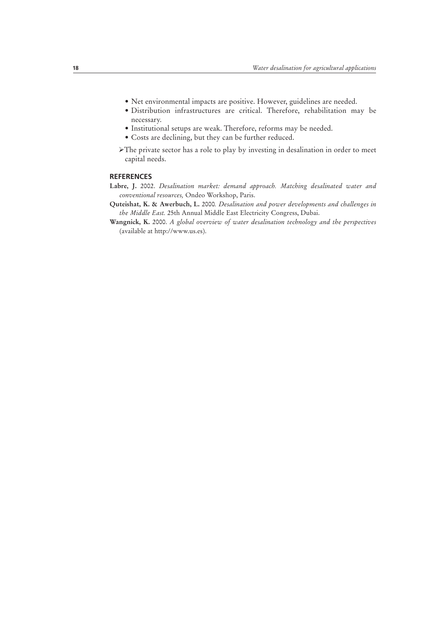- Net environmental impacts are positive. However, guidelines are needed.
- Distribution infrastructures are critical. Therefore, rehabilitation may be necessary.
- Institutional setups are weak. Therefore, reforms may be needed.
- Costs are declining, but they can be further reduced.
- $\blacktriangleright$ The private sector has a role to play by investing in desalination in order to meet capital needs.

## **REFERENCES**

- **Labre, J.** 2002. *Desalination market: demand approach. Matching desalinated water and conventional resources,* Ondeo Workshop, Paris.
- **Quteishat, K. & Awerbuch, L.** 2000*. Desalination and power developments and challenges in the Middle East.* 25th Annual Middle East Electricity Congress, Dubai.
- **Wangnick, K.** 2000. *A global overview of water desalination technology and the perspectives* (available at http://www.us.es).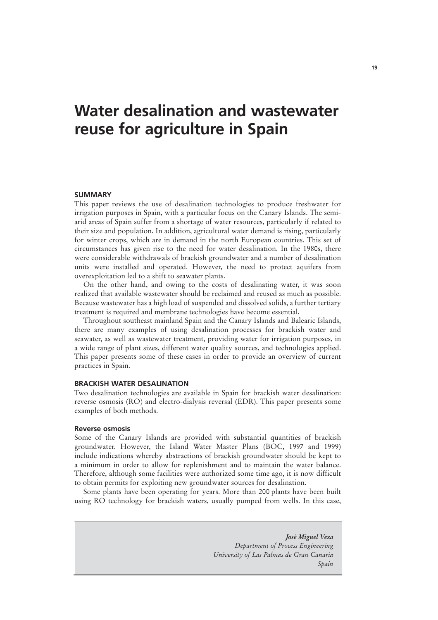## **Water desalination and wastewater reuse for agriculture in Spain**

#### **SUMMARY**

This paper reviews the use of desalination technologies to produce freshwater for irrigation purposes in Spain, with a particular focus on the Canary Islands. The semiarid areas of Spain suffer from a shortage of water resources, particularly if related to their size and population. In addition, agricultural water demand is rising, particularly for winter crops, which are in demand in the north European countries. This set of circumstances has given rise to the need for water desalination. In the 1980s, there were considerable withdrawals of brackish groundwater and a number of desalination units were installed and operated. However, the need to protect aquifers from overexploitation led to a shift to seawater plants.

On the other hand, and owing to the costs of desalinating water, it was soon realized that available wastewater should be reclaimed and reused as much as possible. Because wastewater has a high load of suspended and dissolved solids, a further tertiary treatment is required and membrane technologies have become essential.

Throughout southeast mainland Spain and the Canary Islands and Balearic Islands, there are many examples of using desalination processes for brackish water and seawater, as well as wastewater treatment, providing water for irrigation purposes, in a wide range of plant sizes, different water quality sources, and technologies applied. This paper presents some of these cases in order to provide an overview of current practices in Spain.

## **BRACKISH WATER DESALINATION**

Two desalination technologies are available in Spain for brackish water desalination: reverse osmosis (RO) and electro-dialysis reversal (EDR). This paper presents some examples of both methods.

#### **Reverse osmosis**

Some of the Canary Islands are provided with substantial quantities of brackish groundwater. However, the Island Water Master Plans (BOC, 1997 and 1999) include indications whereby abstractions of brackish groundwater should be kept to a minimum in order to allow for replenishment and to maintain the water balance. Therefore, although some facilities were authorized some time ago, it is now difficult to obtain permits for exploiting new groundwater sources for desalination.

Some plants have been operating for years. More than 200 plants have been built using RO technology for brackish waters, usually pumped from wells. In this case,

> *José Miguel Veza Department of Process Engineering University of Las Palmas de Gran Canaria Spain*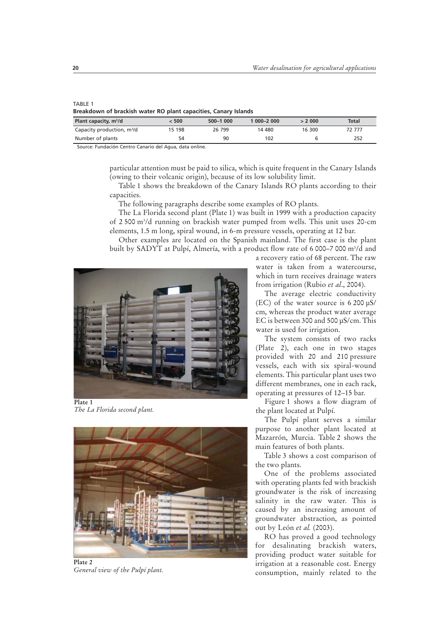#### TABLE 1

| Breakdown of brackish water RO plant capacities, Canary Islands |  |  |  |
|-----------------------------------------------------------------|--|--|--|
|-----------------------------------------------------------------|--|--|--|

| Plant capacity, m <sup>3</sup> /d      | < 500  | 500-1 000 | $1000 - 2000$ | > 2000 | Total  |
|----------------------------------------|--------|-----------|---------------|--------|--------|
| Capacity production, m <sup>3</sup> /d | 15 198 | 26 799    | 14 480        | 16 300 | 72 777 |
| Number of plants                       | 54     | 90        | 102           |        | 252    |
| _ _ _ _ _<br>__                        |        |           |               |        |        |

Source: Fundación Centro Canario del Agua, data online.

particular attention must be paid to silica, which is quite frequent in the Canary Islands (owing to their volcanic origin), because of its low solubility limit.

Table 1 shows the breakdown of the Canary Islands RO plants according to their capacities.

The following paragraphs describe some examples of RO plants.

The La Florida second plant (Plate 1) was built in 1999 with a production capacity of 2 500 m3 /d running on brackish water pumped from wells. This unit uses 20-cm elements, 1.5 m long, spiral wound, in 6-m pressure vessels, operating at 12 bar.

Other examples are located on the Spanish mainland. The first case is the plant built by SADYT at Pulpí, Almería, with a product flow rate of 6 000–7 000 m3 /d and



*The La Florida second plant.*



*General view of the Pulpí plant.*

a recovery ratio of 68 percent. The raw water is taken from a watercourse, which in turn receives drainage waters from irrigation (Rubio *et al*., 2004).

The average electric conductivity (EC) of the water source is 6 200 µS/ cm, whereas the product water average EC is between 300 and 500 µS/cm. This water is used for irrigation.

The system consists of two racks (Plate 2), each one in two stages provided with 20 and 210 pressure vessels, each with six spiral-wound elements. This particular plant uses two different membranes, one in each rack, operating at pressures of 12–15 bar.

Figure 1 shows a flow diagram of the plant located at Pulpí.

The Pulpí plant serves a similar purpose to another plant located at Mazarrón, Murcia. Table 2 shows the main features of both plants.

Table 3 shows a cost comparison of the two plants.

One of the problems associated with operating plants fed with brackish groundwater is the risk of increasing salinity in the raw water. This is caused by an increasing amount of groundwater abstraction, as pointed out by León *et al.* (2003).

RO has proved a good technology for desalinating brackish waters, providing product water suitable for irrigation at a reasonable cost. Energy consumption, mainly related to the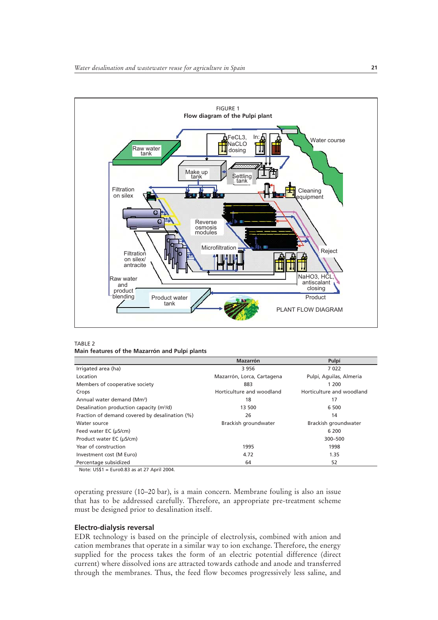

TABLE 2 **Main features of the Mazarrón and Pulpí plants**

|                                                      | <b>Mazarrón</b>            | Pulpí                     |
|------------------------------------------------------|----------------------------|---------------------------|
| Irrigated area (ha)                                  | 3956                       | 7022                      |
| Location                                             | Mazarrón, Lorca, Cartagena | Pulpí, Aguilas, Almeria   |
| Members of cooperative society                       | 883                        | 1 200                     |
| Crops                                                | Horticulture and woodland  | Horticulture and woodland |
| Annual water demand (Mm <sup>3</sup> )               | 18                         | 17                        |
| Desalination production capacity (m <sup>3</sup> /d) | 13 500                     | 6 500                     |
| Fraction of demand covered by desalination (%)       | 26                         | 14                        |
| Water source                                         | Brackish groundwater       | Brackish groundwater      |
| Feed water EC (µS/cm)                                |                            | 6 200                     |
| Product water EC (µS/cm)                             |                            | 300-500                   |
| Year of construction                                 | 1995                       | 1998                      |
| Investment cost (M Euro)                             | 4.72                       | 1.35                      |
| Percentage subsidized                                | 64                         | 52                        |

Note: US\$1 = Euro0.83 as at 27 April 2004.

operating pressure (10–20 bar), is a main concern. Membrane fouling is also an issue that has to be addressed carefully. Therefore, an appropriate pre-treatment scheme must be designed prior to desalination itself.

## **Electro-dialysis reversal**

EDR technology is based on the principle of electrolysis, combined with anion and cation membranes that operate in a similar way to ion exchange. Therefore, the energy supplied for the process takes the form of an electric potential difference (direct current) where dissolved ions are attracted towards cathode and anode and transferred through the membranes. Thus, the feed flow becomes progressively less saline, and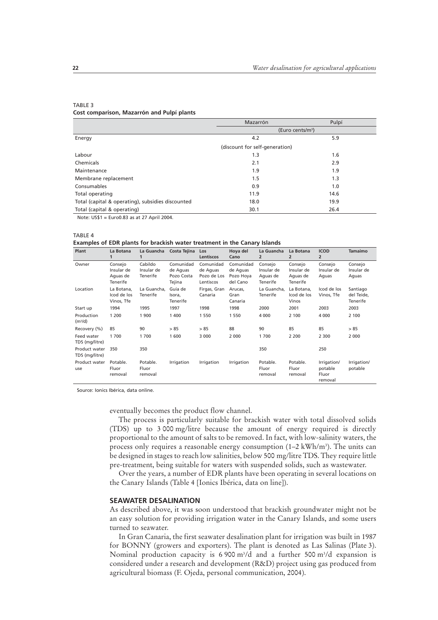|                                                   | Mazarrón                       | Pulpí |
|---------------------------------------------------|--------------------------------|-------|
|                                                   | (Euro cents/m <sup>3</sup> )   |       |
| Energy                                            | 4.2                            | 5.9   |
|                                                   | (discount for self-generation) |       |
| Labour                                            | 1.3                            | 1.6   |
| Chemicals                                         | 2.1                            | 2.9   |
| Maintenance                                       | 1.9                            | 1.9   |
| Membrane replacement                              | 1.5                            | 1.3   |
| Consumables                                       | 0.9                            | 1.0   |
| Total operating                                   | 11.9                           | 14.6  |
| Total (capital & operating), subsidies discounted | 18.0                           | 19.9  |
| Total (capital & operating)                       | 30.1                           | 26.4  |

#### TABLE 3 **Cost comparison, Mazarrón and Pulpí plants**

Note: US\$1 = Euro0.83 as at 27 April 2004.

TABLE 4

#### **Examples of EDR plants for brackish water treatment in the Canary Islands**

| Plant                             | La Botana                                     | La Guancha                        | Costa Tejina                                  | Los<br>Lentiscos                                  | Hoya del<br>Cano                               | La Guancha<br>2                               | La Botana<br>$\overline{2}$                   | <b>ICOD</b><br>$\overline{2}$              | <b>Tamaimo</b>                     |
|-----------------------------------|-----------------------------------------------|-----------------------------------|-----------------------------------------------|---------------------------------------------------|------------------------------------------------|-----------------------------------------------|-----------------------------------------------|--------------------------------------------|------------------------------------|
| Owner                             | Consejo<br>Insular de<br>Aguas de<br>Tenerife | Cabildo<br>Insular de<br>Tenerife | Comunidad<br>de Aquas<br>Pozo Costa<br>Tejina | Comunidad<br>de Aquas<br>Pozo de Los<br>Lentiscos | Comunidad<br>de Aquas<br>Pozo Hoya<br>del Cano | Consejo<br>Insular de<br>Aguas de<br>Tenerife | Consejo<br>Insular de<br>Aquas de<br>Tenerife | Consejo<br>Insular de<br>Aguas             | Consejo<br>Insular de<br>Aguas     |
| Location                          | La Botana,<br>Icod de los<br>Vinos, Tfe       | La Guancha.<br>Tenerife           | Guía de<br>Isora.<br>Tenerife                 | Firgas, Gran<br>Canaria                           | Arucas,<br>Gran<br>Canaria                     | La Guancha.<br>Tenerife                       | La Botana.<br>Icod de los<br>Vinos            | Icod de los<br>Vinos, Tfe                  | Santiago<br>del Teide,<br>Tenerife |
| Start up                          | 1994                                          | 1995                              | 1997                                          | 1998                                              | 1998                                           | 2000                                          | 2001                                          | 2003                                       | 2003                               |
| Production<br>(m <sup>3</sup> /d) | 1 200                                         | 1 900                             | 1 400                                         | 1 5 5 0                                           | 1 550                                          | 4 0 0 0                                       | 2 100                                         | 4 0 0 0                                    | 2 100                              |
| Recovery (%)                      | 85                                            | 90                                | > 85                                          | > 85                                              | 88                                             | 90                                            | 85                                            | 85                                         | > 85                               |
| Feed water<br>TDS (mg/litre)      | 1700                                          | 1700                              | 1 600                                         | 3 0 0 0                                           | 2 0 0 0                                        | 1700                                          | 2 2 0 0                                       | 2 3 0 0                                    | 2 0 0 0                            |
| Product water<br>TDS (mg/litre)   | 350                                           | 350                               |                                               |                                                   |                                                | 350                                           |                                               | 250                                        |                                    |
| Product water<br>use              | Potable.<br>Fluor<br>removal                  | Potable.<br>Fluor<br>removal      | Irrigation                                    | Irrigation                                        | Irrigation                                     | Potable.<br>Fluor<br>removal                  | Potable.<br>Fluor<br>removal                  | Irrigation/<br>potable<br>Fluor<br>removal | Irrigation/<br>potable             |

Source: Ionics Ibérica, data online.

eventually becomes the product flow channel.

The process is particularly suitable for brackish water with total dissolved solids (TDS) up to 3 000 mg/litre because the amount of energy required is directly proportional to the amount of salts to be removed. In fact, with low-salinity waters, the process only requires a reasonable energy consumption  $(1-2 \text{ kWh/m}^3)$ . The units can be designed in stages to reach low salinities, below 500 mg/litre TDS. They require little pre-treatment, being suitable for waters with suspended solids, such as wastewater.

Over the years, a number of EDR plants have been operating in several locations on the Canary Islands (Table 4 [Ionics Ibérica, data on line]).

#### **SEAWATER DESALINATION**

As described above, it was soon understood that brackish groundwater might not be an easy solution for providing irrigation water in the Canary Islands, and some users turned to seawater.

In Gran Canaria, the first seawater desalination plant for irrigation was built in 1987 for BONNY (growers and exporters). The plant is denoted as Las Salinas (Plate 3). Nominal production capacity is 6 900 m<sup>3</sup>/d and a further 500 m<sup>3</sup>/d expansion is considered under a research and development (R&D) project using gas produced from agricultural biomass (F. Ojeda, personal communication, 2004).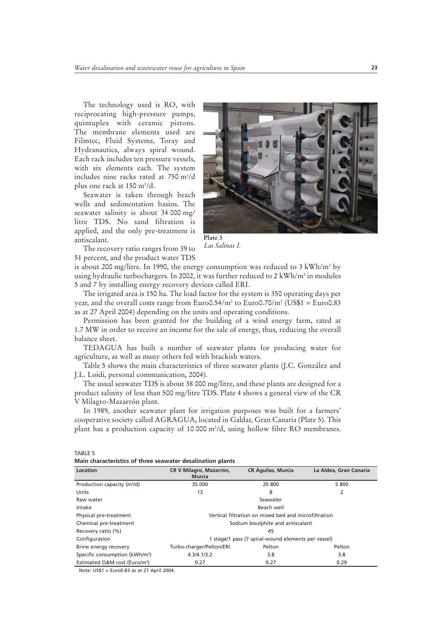The technology used is RO, with reciprocating high-pressure pumps, quintuplex with ceramic pistons. The membrane elements used are Filmtec, Fluid Systems, Toray and Hydranautics, always spiral wound. Each rack includes ten pressure vessels, with six elements each. The system includes nine racks rated at 750 m3 /d plus one rack at 150 m3 /d.

Seawater is taken through beach wells and sedimentation basins. The seawater salinity is about 34 000 mg/ litre TDS. No sand filtration is applied, and the only pre-treatment is antiscalant.



**Plate 3** *Las Salinas I.*

The recovery ratio ranges from 39 to 51 percent, and the product water TDS

is about 200 mg/litre. In 1990, the energy consumption was reduced to 3 kWh/m<sup>3</sup> by using hydraulic turbochargers. In 2002, it was further reduced to 2 kWh/m<sup>3</sup> in modules 5 and 7 by installing energy recovery devices called ERI.

The irrigated area is 150 ha. The load factor for the system is 350 operating days per year, and the overall costs range from Euro0.54/m<sup>3</sup> to Euro0.70/m<sup>3</sup> (US\$1 = Euro0.83 as at 27 April 2004) depending on the units and operating conditions.

Permission has been granted for the building of a wind energy farm, rated at 1.7 MW in order to receive an income for the sale of energy, thus, reducing the overall balance sheet.

TEDAGUA has built a number of seawater plants for producing water for agriculture, as well as many others fed with brackish waters.

Table 5 shows the main characteristics of three seawater plants (J.C. González and J.L. Loidi, personal communication, 2004).

The usual seawater TDS is about 38 000 mg/litre, and these plants are designed for a product salinity of less than 500 mg/litre TDS. Plate 4 shows a general view of the CR V Milagro-Mazarrón plant.

In 1989, another seawater plant for irrigation purposes was built for a farmers' cooperative society called AGRAGUA, located in Galdar, Gran Canaria (Plate 5). This plant has a production capacity of 10 000 m3 /d, using hollow fibre RO membranes.

**Main characteristics of three seawater desalination plants**

| Location                                   | CR V Milagro, Mazarrón,                              | <b>CR Águilas, Murcia</b>                           | La Aldea, Gran Canaria |  |  |
|--------------------------------------------|------------------------------------------------------|-----------------------------------------------------|------------------------|--|--|
|                                            | <b>Murcia</b>                                        |                                                     |                        |  |  |
| Production capacity (m <sup>3</sup> /d)    | 35 000                                               | 20 800                                              | 5 800                  |  |  |
| Units                                      | 13                                                   | 8                                                   | 2                      |  |  |
| Raw water                                  |                                                      | Seawater                                            |                        |  |  |
| Intake                                     | Beach well                                           |                                                     |                        |  |  |
| Physical pre-treatment                     | Vertical filtration on mixed bed and microfiltration |                                                     |                        |  |  |
| Chemical pre-treatment                     | Sodium bisulphite and antiscalant                    |                                                     |                        |  |  |
| Recovery ratio (%)                         | 45                                                   |                                                     |                        |  |  |
| Configuration                              |                                                      | 1 stage/1 pass (7 spiral-wound elements per vessel) |                        |  |  |
| Brine energy recovery                      | Turbo-charger/Pelton/ERI                             | Pelton                                              | Pelton                 |  |  |
| Specific consumption (kWh/m <sup>3</sup> ) | 4.3/4.1/3.2                                          | 3.8                                                 | 3.8                    |  |  |
| Estimated O&M cost (Euro/m <sup>3</sup> )  | 0.27                                                 | 0.27                                                | 0.29                   |  |  |

Note: US\$1 = Euro0.83 as at 27 April 2004.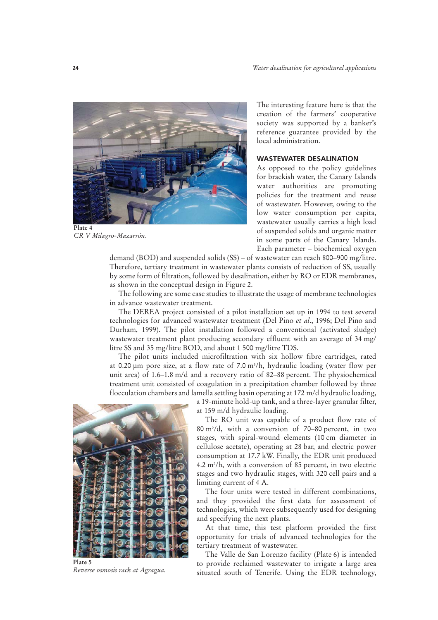

**Plate 4** *CR V Milagro-Mazarrón.*

The interesting feature here is that the creation of the farmers' cooperative society was supported by a banker's reference guarantee provided by the local administration.

## **WASTEWATER DESALINATION**

As opposed to the policy guidelines for brackish water, the Canary Islands water authorities are promoting policies for the treatment and reuse of wastewater. However, owing to the low water consumption per capita, wastewater usually carries a high load of suspended solids and organic matter in some parts of the Canary Islands. Each parameter – biochemical oxygen

demand (BOD) and suspended solids (SS) – of wastewater can reach 800–900 mg/litre. Therefore, tertiary treatment in wastewater plants consists of reduction of SS, usually by some form of filtration, followed by desalination, either by RO or EDR membranes, as shown in the conceptual design in Figure 2.

The following are some case studies to illustrate the usage of membrane technologies in advance wastewater treatment.

The DEREA project consisted of a pilot installation set up in 1994 to test several technologies for advanced wastewater treatment (Del Pino *et al*., 1996; Del Pino and Durham, 1999). The pilot installation followed a conventional (activated sludge) wastewater treatment plant producing secondary effluent with an average of 34 mg/ litre SS and 35 mg/litre BOD, and about 1 500 mg/litre TDS.

The pilot units included microfiltration with six hollow fibre cartridges, rated at 0.20 µm pore size, at a flow rate of 7.0 m3 /h, hydraulic loading (water flow per unit area) of 1.6–1.8 m/d and a recovery ratio of 82–88 percent. The physiochemical treatment unit consisted of coagulation in a precipitation chamber followed by three flocculation chambers and lamella settling basin operating at 172 m/d hydraulic loading,



**Plate 5** *Reverse osmosis rack at Agragua.*

a 19-minute hold-up tank, and a three-layer granular filter, at 159 m/d hydraulic loading.

The RO unit was capable of a product flow rate of 80 m3 /d, with a conversion of 70–80 percent, in two stages, with spiral-wound elements (10 cm diameter in cellulose acetate), operating at 28 bar, and electric power consumption at 17.7 kW. Finally, the EDR unit produced 4.2 m3 /h, with a conversion of 85 percent, in two electric stages and two hydraulic stages, with 320 cell pairs and a limiting current of 4 A.

The four units were tested in different combinations, and they provided the first data for assessment of technologies, which were subsequently used for designing and specifying the next plants.

At that time, this test platform provided the first opportunity for trials of advanced technologies for the tertiary treatment of wastewater.

The Valle de San Lorenzo facility (Plate 6) is intended to provide reclaimed wastewater to irrigate a large area situated south of Tenerife. Using the EDR technology,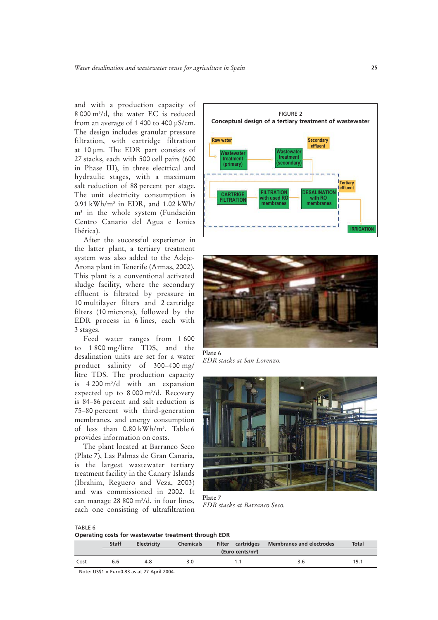and with a production capacity of 8 000 m3 /d, the water EC is reduced from an average of 1 400 to 400 µS/cm. The design includes granular pressure filtration, with cartridge filtration at 10 µm. The EDR part consists of 27 stacks, each with 500 cell pairs (600 in Phase III), in three electrical and hydraulic stages, with a maximum salt reduction of 88 percent per stage. The unit electricity consumption is 0.91 kWh/m3 in EDR, and 1.02 kWh/ m3 in the whole system (Fundación Centro Canario del Agua e Ionics Ibérica).

After the successful experience in the latter plant, a tertiary treatment system was also added to the Adeje-Arona plant in Tenerife (Armas, 2002). This plant is a conventional activated sludge facility, where the secondary effluent is filtrated by pressure in 10 multilayer filters and 2 cartridge filters (10 microns), followed by the EDR process in 6 lines, each with 3 stages.

Feed water ranges from 1 600 to 1 800 mg/litre TDS, and the desalination units are set for a water product salinity of 300–400 mg/ litre TDS. The production capacity is 4 200 m3 /d with an expansion expected up to 8 000 m<sup>3</sup>/d. Recovery is 84–86 percent and salt reduction is 75–80 percent with third-generation membranes, and energy consumption of less than 0.80 kWh/m3 . Table 6 provides information on costs.

The plant located at Barranco Seco (Plate 7), Las Palmas de Gran Canaria, is the largest wastewater tertiary treatment facility in the Canary Islands (Ibrahim, Reguero and Veza, 2003) and was commissioned in 2002. It can manage 28 800 m3 /d, in four lines, each one consisting of ultrafiltration





*EDR stacks at San Lorenzo.*



**Plate 7** *EDR stacks at Barranco Seco.*

TABLE 6

**Operating costs for wastewater treatment through EDR**

|      | <b>Staff</b> | <b>Electricity</b> | <b>Chemicals</b> |                      | Filter cartridges Membranes and electrodes | <b>Total</b> |
|------|--------------|--------------------|------------------|----------------------|--------------------------------------------|--------------|
|      |              |                    |                  | (Euro cents/ $m^3$ ) |                                            |              |
| Cost | 6.6          | 4.8                |                  |                      |                                            | 19.          |

Note: US\$1 = Euro0.83 as at 27 April 2004.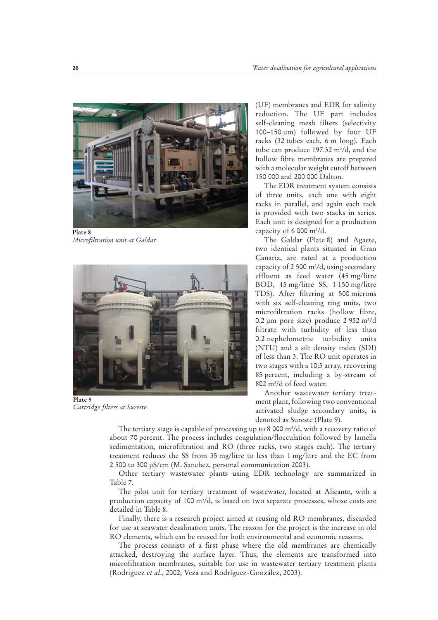

**Plate 8** *Microfiltration unit at Galdar.*



**Plate 9** *Cartridge filters at Sureste.*

(UF) membranes and EDR for salinity reduction. The UF part includes self-cleaning mesh filters (selectivity 100–150 µm) followed by four UF racks (32 tubes each, 6 m long). Each tube can produce 197.32  $\mathrm{m}^3/\mathrm{d}$ , and the hollow fibre membranes are prepared with a molecular weight cutoff between 150 000 and 200 000 Dalton.

The EDR treatment system consists of three units, each one with eight racks in parallel, and again each rack is provided with two stacks in series. Each unit is designed for a production capacity of 6 000 m3 /d.

The Galdar (Plate 8) and Agaete, two identical plants situated in Gran Canaria, are rated at a production capacity of 2 500 m3 /d, using secondary effluent as feed water (45 mg/litre BOD, 45 mg/litre SS, 1 150 mg/litre TDS). After filtering at 500 microns with six self-cleaning ring units, two microfiltration racks (hollow fibre, 0.2 µm pore size) produce  $2952 \text{ m}^3/\text{d}$ filtrate with turbidity of less than 0.2 nephelometric turbidity units (NTU) and a silt density index (SDI) of less than 3. The RO unit operates in two stages with a 10:5 array, recovering 85 percent, including a by-stream of  $802 \text{ m}^3/\text{d}$  of feed water.

Another wastewater tertiary treatment plant, following two conventional activated sludge secondary units, is denoted as Sureste (Plate 9).

The tertiary stage is capable of processing up to 8 000  $\mathrm{m}^3/\mathrm{d}$ , with a recovery ratio of about 70 percent. The process includes coagulation/flocculation followed by lamella sedimentation, microfiltration and RO (three racks, two stages each). The tertiary treatment reduces the SS from 35 mg/litre to less than 1 mg/litre and the EC from 2 500 to 300 µS/cm (M. Sanchez, personal communication 2003).

Other tertiary wastewater plants using EDR technology are summarized in Table 7.

The pilot unit for tertiary treatment of wastewater, located at Alicante, with a production capacity of 100 m3 /d, is based on two separate processes, whose costs are detailed in Table 8.

Finally, there is a research project aimed at reusing old RO membranes, discarded for use at seawater desalination units. The reason for the project is the increase in old RO elements, which can be reused for both environmental and economic reasons.

The process consists of a first phase where the old membranes are chemically attacked, destroying the surface layer. Thus, the elements are transformed into microfiltration membranes, suitable for use in wastewater tertiary treatment plants (Rodriguez *et al*., 2002; Veza and Rodríguez-González, 2003).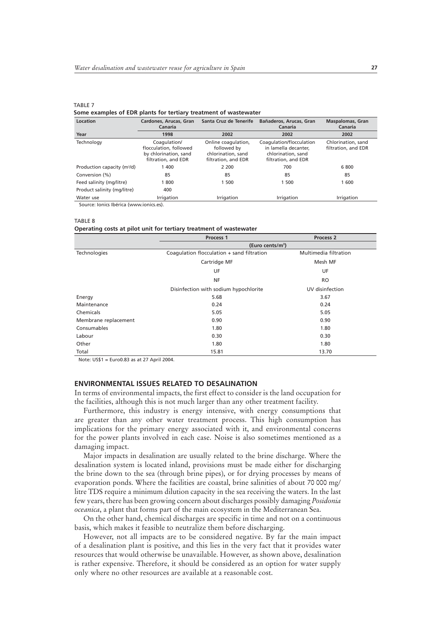**Some examples of EDR plants for tertiary treatment of wastewater**

| Location                                | Cardones, Arucas, Gran<br>Canaria                                                      | Santa Cruz de Tenerife                                                          | Bañaderos, Arucas, Gran<br>Canaria                                                            | <b>Maspalomas, Gran</b><br>Canaria        |
|-----------------------------------------|----------------------------------------------------------------------------------------|---------------------------------------------------------------------------------|-----------------------------------------------------------------------------------------------|-------------------------------------------|
| Year                                    | 1998                                                                                   | 2002                                                                            | 2002                                                                                          | 2002                                      |
| Technology                              | Coagulation/<br>flocculation, followed<br>by chlorination, sand<br>filtration, and EDR | Online coagulation,<br>followed by<br>chlorination, sand<br>filtration, and EDR | Coagulation/flocculation<br>in lamella decanter.<br>chlorination, sand<br>filtration, and EDR | Chlorination, sand<br>filtration, and EDR |
| Production capacity (m <sup>3</sup> /d) | 1 400                                                                                  | 2 2 0 0                                                                         | 700                                                                                           | 6 800                                     |
| Conversion (%)                          | 85                                                                                     | 85                                                                              | 85                                                                                            | 85                                        |
| Feed salinity (mg/litre)                | 1800                                                                                   | 1 500                                                                           | 1 500                                                                                         | 1 600                                     |
| Product salinity (mg/litre)             | 400                                                                                    |                                                                                 |                                                                                               |                                           |
| Water use                               | Irrigation                                                                             | Irrigation                                                                      | Irrigation                                                                                    | Irrigation                                |

Source: Ionics Ibérica (www.ionics.es).

#### TABLE 8

TABLE 7

#### **Operating costs at pilot unit for tertiary treatment of wastewater**

|                      | Process <sub>1</sub>                       | Process <sub>2</sub>  |  |  |
|----------------------|--------------------------------------------|-----------------------|--|--|
|                      | (Euro cents/m <sup>3</sup> )               |                       |  |  |
| Technologies         | Coaqulation flocculation + sand filtration | Multimedia filtration |  |  |
|                      | Cartridge MF                               | Mesh MF               |  |  |
|                      | UF                                         | UF                    |  |  |
|                      | <b>NF</b>                                  | <b>RO</b>             |  |  |
|                      | Disinfection with sodium hypochlorite      | UV disinfection       |  |  |
| Energy               | 5.68                                       | 3.67                  |  |  |
| Maintenance          | 0.24                                       | 0.24                  |  |  |
| Chemicals            | 5.05                                       | 5.05                  |  |  |
| Membrane replacement | 0.90                                       | 0.90                  |  |  |
| Consumables          | 1.80                                       | 1.80                  |  |  |
| Labour               | 0.30                                       | 0.30                  |  |  |
| Other                | 1.80                                       | 1.80                  |  |  |
| Total                | 15.81                                      | 13.70                 |  |  |

Note: US\$1 = Euro0.83 as at 27 April 2004.

## **ENVIRONMENTAL ISSUES RELATED TO DESALINATION**

In terms of environmental impacts, the first effect to consider is the land occupation for the facilities, although this is not much larger than any other treatment facility.

Furthermore, this industry is energy intensive, with energy consumptions that are greater than any other water treatment process. This high consumption has implications for the primary energy associated with it, and environmental concerns for the power plants involved in each case. Noise is also sometimes mentioned as a damaging impact.

Major impacts in desalination are usually related to the brine discharge. Where the desalination system is located inland, provisions must be made either for discharging the brine down to the sea (through brine pipes), or for drying processes by means of evaporation ponds. Where the facilities are coastal, brine salinities of about 70 000 mg/ litre TDS require a minimum dilution capacity in the sea receiving the waters. In the last few years, there has been growing concern about discharges possibly damaging *Posidonia oceanica*, a plant that forms part of the main ecosystem in the Mediterranean Sea.

On the other hand, chemical discharges are specific in time and not on a continuous basis, which makes it feasible to neutralize them before discharging.

However, not all impacts are to be considered negative. By far the main impact of a desalination plant is positive, and this lies in the very fact that it provides water resources that would otherwise be unavailable. However, as shown above, desalination is rather expensive. Therefore, it should be considered as an option for water supply only where no other resources are available at a reasonable cost.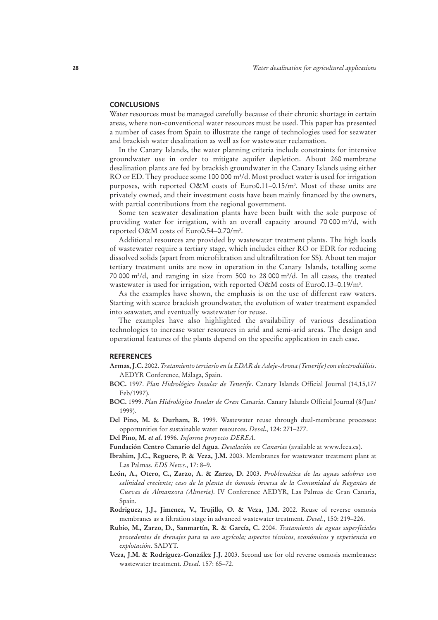#### **CONCLUSIONS**

Water resources must be managed carefully because of their chronic shortage in certain areas, where non-conventional water resources must be used. This paper has presented a number of cases from Spain to illustrate the range of technologies used for seawater and brackish water desalination as well as for wastewater reclamation.

In the Canary Islands, the water planning criteria include constraints for intensive groundwater use in order to mitigate aquifer depletion. About 260 membrane desalination plants are fed by brackish groundwater in the Canary Islands using either  $RO$  or ED. They produce some 100 000 m<sup>3</sup>/d. Most product water is used for irrigation purposes, with reported O&M costs of Euro0.11–0.15/m3 . Most of these units are privately owned, and their investment costs have been mainly financed by the owners, with partial contributions from the regional government.

Some ten seawater desalination plants have been built with the sole purpose of providing water for irrigation, with an overall capacity around 70 000 m3 /d, with reported O&M costs of Euro0.54–0.70/m3 .

Additional resources are provided by wastewater treatment plants. The high loads of wastewater require a tertiary stage, which includes either RO or EDR for reducing dissolved solids (apart from microfiltration and ultrafiltration for SS). About ten major tertiary treatment units are now in operation in the Canary Islands, totalling some 70 000 m<sup>3</sup>/d, and ranging in size from 500 to 28 000 m<sup>3</sup>/d. In all cases, the treated wastewater is used for irrigation, with reported O&M costs of Euro0.13–0.19/m<sup>3</sup>.

As the examples have shown, the emphasis is on the use of different raw waters. Starting with scarce brackish groundwater, the evolution of water treatment expanded into seawater, and eventually wastewater for reuse.

The examples have also highlighted the availability of various desalination technologies to increase water resources in arid and semi-arid areas. The design and operational features of the plants depend on the specific application in each case.

#### **REFERENCES**

- **Armas, J.C.** 2002. *Tratamiento terciario en la EDAR de Adeje-Arona (Tenerife) con electrodiálisis*. AEDYR Conference, Málaga, Spain.
- **BOC.** 1997. *Plan Hidrológico Insular de Tenerife*. Canary Islands Official Journal (14,15,17/ Feb/1997).
- **BOC.** 1999. *Plan Hidrológico Insular de Gran Canaria*. Canary Islands Official Journal (8/Jun/ 1999).
- **Del Pino, M. & Durham, B.** 1999. Wastewater reuse through dual-membrane processes: opportunities for sustainable water resources. *Desal*., 124: 271–277.
- **Del Pino, M.** *et al***.** 1996. *Informe proyecto DEREA*.
- **Fundación Centro Canario del Agua**. *Desalación en Canarias* (available at www.fcca.es).
- **Ibrahim, J.C., Reguero, P. & Veza, J.M.** 2003. Membranes for wastewater treatment plant at Las Palmas. *EDS News*., 17: 8–9.
- **León, A., Otero, C., Zarzo, A. & Zarzo, D.** 2003. *Problemática de las aguas salobres con salinidad creciente; caso de la planta de ósmosis inversa de la Comunidad de Regantes de Cuevas de Almanzora (Almería)*. IV Conference AEDYR, Las Palmas de Gran Canaria, Spain.
- **Rodriguez, J.J., Jimenez, V., Trujillo, O. & Veza, J.M.** 2002. Reuse of reverse osmosis membranes as a filtration stage in advanced wastewater treatment. *Desal*., 150: 219–226.
- **Rubio, M., Zarzo, D., Sanmartín, R. & García, C.** 2004. *Tratamiento de aguas superficiales procedentes de drenajes para su uso agrícola; aspectos técnicos, económicos y experiencia en explotación*. SADYT.
- **Veza, J.M. & Rodríguez-González J.J.** 2003. Second use for old reverse osmosis membranes: wastewater treatment. *Desal*. 157: 65–72.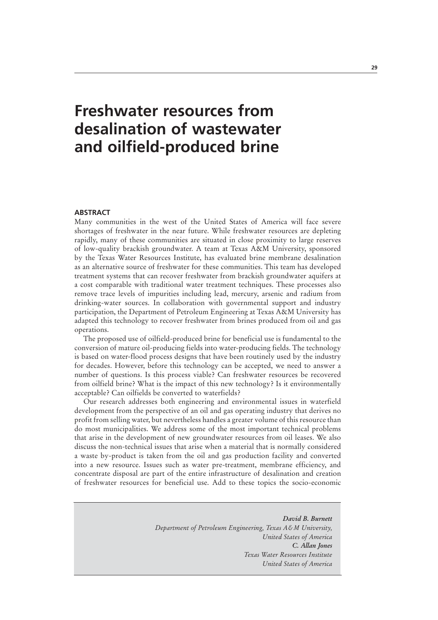## **Freshwater resources from desalination of wastewater and oilfield-produced brine**

## **ABSTRACT**

Many communities in the west of the United States of America will face severe shortages of freshwater in the near future. While freshwater resources are depleting rapidly, many of these communities are situated in close proximity to large reserves of low-quality brackish groundwater. A team at Texas A&M University, sponsored by the Texas Water Resources Institute, has evaluated brine membrane desalination as an alternative source of freshwater for these communities. This team has developed treatment systems that can recover freshwater from brackish groundwater aquifers at a cost comparable with traditional water treatment techniques. These processes also remove trace levels of impurities including lead, mercury, arsenic and radium from drinking-water sources. In collaboration with governmental support and industry participation, the Department of Petroleum Engineering at Texas A&M University has adapted this technology to recover freshwater from brines produced from oil and gas operations.

The proposed use of oilfield-produced brine for beneficial use is fundamental to the conversion of mature oil-producing fields into water-producing fields. The technology is based on water-flood process designs that have been routinely used by the industry for decades. However, before this technology can be accepted, we need to answer a number of questions. Is this process viable? Can freshwater resources be recovered from oilfield brine? What is the impact of this new technology? Is it environmentally acceptable? Can oilfields be converted to waterfields?

Our research addresses both engineering and environmental issues in waterfield development from the perspective of an oil and gas operating industry that derives no profit from selling water, but nevertheless handles a greater volume of this resource than do most municipalities. We address some of the most important technical problems that arise in the development of new groundwater resources from oil leases. We also discuss the non-technical issues that arise when a material that is normally considered a waste by-product is taken from the oil and gas production facility and converted into a new resource. Issues such as water pre-treatment, membrane efficiency, and concentrate disposal are part of the entire infrastructure of desalination and creation of freshwater resources for beneficial use. Add to these topics the socio-economic

> *David B. Burnett Department of Petroleum Engineering, Texas A&M University, United States of America C. Allan Jones Texas Water Resources Institute United States of America*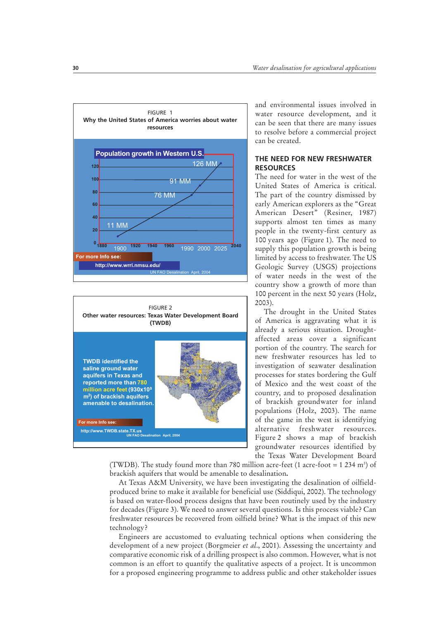



and environmental issues involved in water resource development, and it can be seen that there are many issues to resolve before a commercial project can be created.

## **THE NEED FOR NEW FRESHWATER RESOURCES**

The need for water in the west of the United States of America is critical. The part of the country dismissed by early American explorers as the "Great American Desert" (Resiner, 1987) supports almost ten times as many people in the twenty-first century as 100 years ago (Figure 1). The need to supply this population growth is being limited by access to freshwater. The US Geologic Survey (USGS) projections of water needs in the west of the country show a growth of more than 100 percent in the next 50 years (Holz, 2003).

The drought in the United States of America is aggravating what it is already a serious situation. Droughtaffected areas cover a significant portion of the country. The search for new freshwater resources has led to investigation of seawater desalination processes for states bordering the Gulf of Mexico and the west coast of the country, and to proposed desalination of brackish groundwater for inland populations (Holz, 2003). The name of the game in the west is identifying alternative freshwater resources. Figure 2 shows a map of brackish groundwater resources identified by the Texas Water Development Board

(TWDB). The study found more than 780 million acre-feet (1 acre-foot =  $1\,234\,\mathrm{m}^3$ ) of brackish aquifers that would be amenable to desalination**.**

At Texas A&M University, we have been investigating the desalination of oilfieldproduced brine to make it available for beneficial use (Siddiqui, 2002). The technology is based on water-flood process designs that have been routinely used by the industry for decades (Figure 3). We need to answer several questions. Is this process viable? Can freshwater resources be recovered from oilfield brine? What is the impact of this new technology?

Engineers are accustomed to evaluating technical options when considering the development of a new project (Borgmeier *et al*., 2001). Assessing the uncertainty and comparative economic risk of a drilling prospect is also common. However, what is not common is an effort to quantify the qualitative aspects of a project. It is uncommon for a proposed engineering programme to address public and other stakeholder issues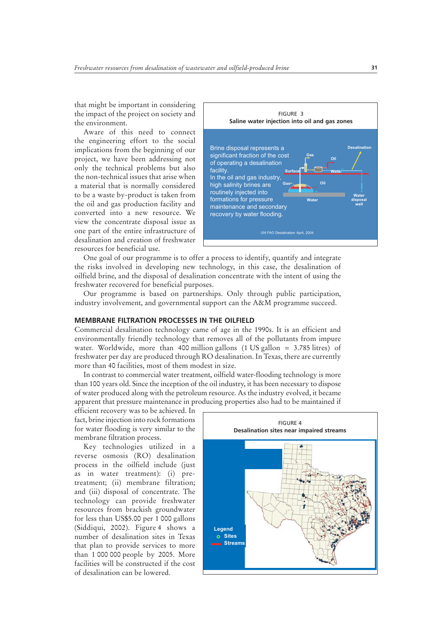that might be important in considering the impact of the project on society and the environment.

Aware of this need to connect the engineering effort to the social implications from the beginning of our project, we have been addressing not only the technical problems but also the non-technical issues that arise when a material that is normally considered to be a waste by-product is taken from the oil and gas production facility and converted into a new resource. We view the concentrate disposal issue as one part of the entire infrastructure of desalination and creation of freshwater resources for beneficial use.



One goal of our programme is to offer a process to identify, quantify and integrate the risks involved in developing new technology, in this case, the desalination of oilfield brine, and the disposal of desalination concentrate with the intent of using the freshwater recovered for beneficial purposes.

Our programme is based on partnerships. Only through public participation, industry involvement, and governmental support can the A&M programme succeed.

### **MEMBRANE FILTRATION PROCESSES IN THE OILFIELD**

Commercial desalination technology came of age in the 1990s. It is an efficient and environmentally friendly technology that removes all of the pollutants from impure water. Worldwide, more than 400 million gallons (1 US gallon = 3.785 litres) of freshwater per day are produced through RO desalination. In Texas, there are currently more than 40 facilities, most of them modest in size.

In contrast to commercial water treatment, oilfield water-flooding technology is more than 100 years old. Since the inception of the oil industry, it has been necessary to dispose of water produced along with the petroleum resource. As the industry evolved, it became apparent that pressure maintenance in producing properties also had to be maintained if

efficient recovery was to be achieved. In fact, brine injection into rock formations for water flooding is very similar to the membrane filtration process.

Key technologies utilized in a reverse osmosis (RO) desalination process in the oilfield include (just as in water treatment): (i) pretreatment; (ii) membrane filtration; and (iii) disposal of concentrate. The technology can provide freshwater resources from brackish groundwater for less than US\$5.00 per 1 000 gallons (Siddiqui, 2002). Figure 4 shows a number of desalination sites in Texas that plan to provide services to more than 1 000 000 people by 2005. More facilities will be constructed if the cost of desalination can be lowered.

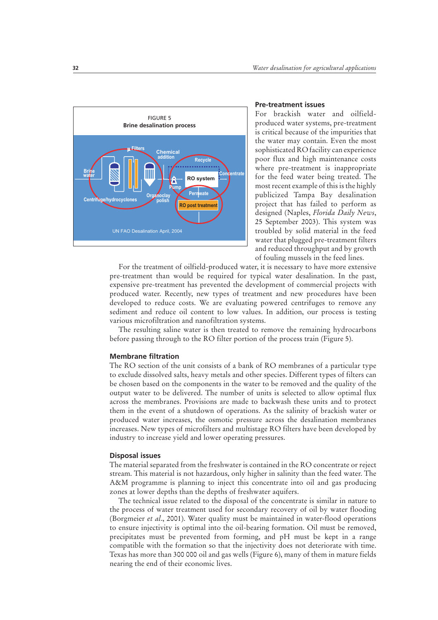

#### **Pre-treatment issues**

For brackish water and oilfieldproduced water systems, pre-treatment is critical because of the impurities that the water may contain. Even the most sophisticated RO facility can experience poor flux and high maintenance costs where pre-treatment is inappropriate for the feed water being treated. The most recent example of this is the highly publicized Tampa Bay desalination project that has failed to perform as designed (Naples, *Florida Daily News*, 25 September 2003). This system was troubled by solid material in the feed water that plugged pre-treatment filters and reduced throughput and by growth of fouling mussels in the feed lines.

For the treatment of oilfield-produced water, it is necessary to have more extensive pre-treatment than would be required for typical water desalination. In the past, expensive pre-treatment has prevented the development of commercial projects with produced water. Recently, new types of treatment and new procedures have been developed to reduce costs. We are evaluating powered centrifuges to remove any sediment and reduce oil content to low values. In addition, our process is testing various microfiltration and nanofiltration systems.

The resulting saline water is then treated to remove the remaining hydrocarbons before passing through to the RO filter portion of the process train (Figure 5).

#### **Membrane filtration**

The RO section of the unit consists of a bank of RO membranes of a particular type to exclude dissolved salts, heavy metals and other species. Different types of filters can be chosen based on the components in the water to be removed and the quality of the output water to be delivered. The number of units is selected to allow optimal flux across the membranes. Provisions are made to backwash these units and to protect them in the event of a shutdown of operations. As the salinity of brackish water or produced water increases, the osmotic pressure across the desalination membranes increases. New types of microfilters and multistage RO filters have been developed by industry to increase yield and lower operating pressures.

### **Disposal issues**

The material separated from the freshwater is contained in the RO concentrate or reject stream. This material is not hazardous, only higher in salinity than the feed water. The A&M programme is planning to inject this concentrate into oil and gas producing zones at lower depths than the depths of freshwater aquifers.

The technical issue related to the disposal of the concentrate is similar in nature to the process of water treatment used for secondary recovery of oil by water flooding (Borgmeier *et al*., 2001). Water quality must be maintained in water-flood operations to ensure injectivity is optimal into the oil-bearing formation. Oil must be removed, precipitates must be prevented from forming, and pH must be kept in a range compatible with the formation so that the injectivity does not deteriorate with time. Texas has more than 300 000 oil and gas wells (Figure 6), many of them in mature fields nearing the end of their economic lives.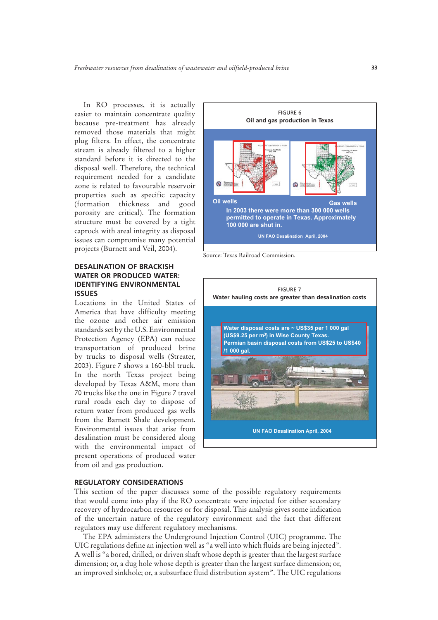In RO processes, it is actually easier to maintain concentrate quality because pre-treatment has already removed those materials that might plug filters. In effect, the concentrate stream is already filtered to a higher standard before it is directed to the disposal well. Therefore, the technical requirement needed for a candidate zone is related to favourable reservoir properties such as specific capacity (formation thickness and good porosity are critical). The formation structure must be covered by a tight caprock with areal integrity as disposal issues can compromise many potential projects (Burnett and Veil, 2004).

## **DESALINATION OF BRACKISH WATER OR PRODUCED WATER: IDENTIFYING ENVIRONMENTAL ISSUES**

Locations in the United States of America that have difficulty meeting the ozone and other air emission standards set by the U.S. Environmental Protection Agency (EPA) can reduce transportation of produced brine by trucks to disposal wells (Streater, 2003). Figure 7 shows a 160-bbl truck. In the north Texas project being developed by Texas A&M, more than 70 trucks like the one in Figure 7 travel rural roads each day to dispose of return water from produced gas wells from the Barnett Shale development. Environmental issues that arise from desalination must be considered along with the environmental impact of present operations of produced water from oil and gas production.



Source: Texas Railroad Commission.



### **REGULATORY CONSIDERATIONS**

This section of the paper discusses some of the possible regulatory requirements that would come into play if the RO concentrate were injected for either secondary recovery of hydrocarbon resources or for disposal. This analysis gives some indication of the uncertain nature of the regulatory environment and the fact that different regulators may use different regulatory mechanisms.

The EPA administers the Underground Injection Control (UIC) programme. The UIC regulations define an injection well as "a well into which fluids are being injected". A well is "a bored, drilled, or driven shaft whose depth is greater than the largest surface dimension; or, a dug hole whose depth is greater than the largest surface dimension; or, an improved sinkhole; or, a subsurface fluid distribution system". The UIC regulations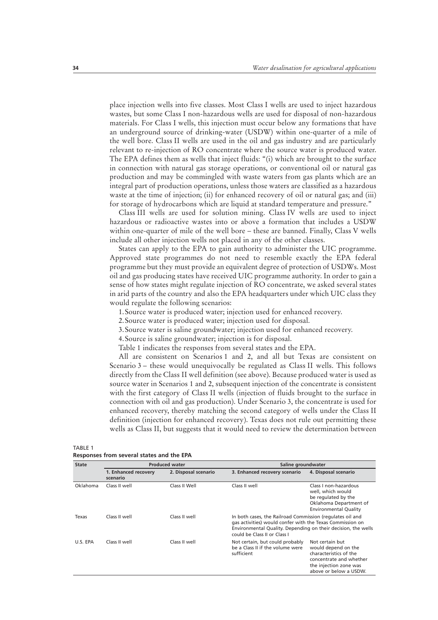place injection wells into five classes. Most Class I wells are used to inject hazardous wastes, but some Class I non-hazardous wells are used for disposal of non-hazardous materials. For Class I wells, this injection must occur below any formations that have an underground source of drinking-water (USDW) within one-quarter of a mile of the well bore. Class II wells are used in the oil and gas industry and are particularly relevant to re-injection of RO concentrate where the source water is produced water. The EPA defines them as wells that inject fluids: "(i) which are brought to the surface in connection with natural gas storage operations, or conventional oil or natural gas production and may be commingled with waste waters from gas plants which are an integral part of production operations, unless those waters are classified as a hazardous waste at the time of injection; (ii) for enhanced recovery of oil or natural gas; and (iii) for storage of hydrocarbons which are liquid at standard temperature and pressure."

Class III wells are used for solution mining. Class IV wells are used to inject hazardous or radioactive wastes into or above a formation that includes a USDW within one-quarter of mile of the well bore – these are banned. Finally, Class V wells include all other injection wells not placed in any of the other classes.

States can apply to the EPA to gain authority to administer the UIC programme. Approved state programmes do not need to resemble exactly the EPA federal programme but they must provide an equivalent degree of protection of USDWs. Most oil and gas producing states have received UIC programme authority. In order to gain a sense of how states might regulate injection of RO concentrate, we asked several states in arid parts of the country and also the EPA headquarters under which UIC class they would regulate the following scenarios:

1. Source water is produced water; injection used for enhanced recovery.

2. Source water is produced water; injection used for disposal.

3. Source water is saline groundwater; injection used for enhanced recovery.

4. Source is saline groundwater; injection is for disposal.

Table 1 indicates the responses from several states and the EPA.

All are consistent on Scenarios 1 and 2, and all but Texas are consistent on Scenario 3 – these would unequivocally be regulated as Class II wells. This follows directly from the Class II well definition (see above). Because produced water is used as source water in Scenarios 1 and 2, subsequent injection of the concentrate is consistent with the first category of Class II wells (injection of fluids brought to the surface in connection with oil and gas production). Under Scenario 3, the concentrate is used for enhanced recovery, thereby matching the second category of wells under the Class II definition (injection for enhanced recovery). Texas does not rule out permitting these wells as Class II, but suggests that it would need to review the determination between

| <b>State</b> | <b>Produced water</b>            |                      | Saline groundwater                                                                                                                                                                                                      |                                                                                                                                                 |  |
|--------------|----------------------------------|----------------------|-------------------------------------------------------------------------------------------------------------------------------------------------------------------------------------------------------------------------|-------------------------------------------------------------------------------------------------------------------------------------------------|--|
|              | 1. Enhanced recovery<br>scenario | 2. Disposal scenario | 3. Enhanced recovery scenario                                                                                                                                                                                           | 4. Disposal scenario                                                                                                                            |  |
| Oklahoma     | Class II Well<br>Class II well   |                      | Class II well                                                                                                                                                                                                           | Class Lnon-hazardous<br>well, which would<br>be regulated by the<br>Oklahoma Department of<br><b>Environmental Quality</b>                      |  |
| Texas        | Class II well                    | Class II well        | In both cases, the Railroad Commission (regulates oil and<br>gas activities) would confer with the Texas Commission on<br>Environmental Quality. Depending on their decision, the wells<br>could be Class II or Class I |                                                                                                                                                 |  |
| U.S. EPA     | Class II well                    | Class II well        | Not certain, but could probably<br>be a Class II if the volume were<br>sufficient                                                                                                                                       | Not certain but<br>would depend on the<br>characteristics of the<br>concentrate and whether<br>the injection zone was<br>above or below a USDW. |  |

TABLE 1 **Responses from several states and the EPA**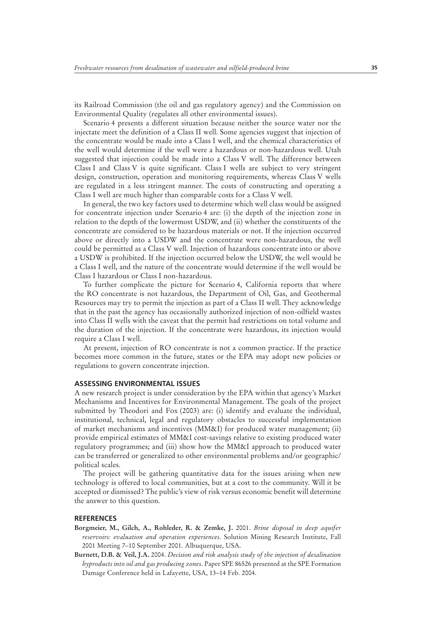its Railroad Commission (the oil and gas regulatory agency) and the Commission on Environmental Quality (regulates all other environmental issues).

Scenario 4 presents a different situation because neither the source water nor the injectate meet the definition of a Class II well. Some agencies suggest that injection of the concentrate would be made into a Class I well, and the chemical characteristics of the well would determine if the well were a hazardous or non-hazardous well. Utah suggested that injection could be made into a Class V well. The difference between Class I and Class V is quite significant. Class I wells are subject to very stringent design, construction, operation and monitoring requirements, whereas Class V wells are regulated in a less stringent manner. The costs of constructing and operating a Class I well are much higher than comparable costs for a Class V well.

In general, the two key factors used to determine which well class would be assigned for concentrate injection under Scenario 4 are: (i) the depth of the injection zone in relation to the depth of the lowermost USDW, and (ii) whether the constituents of the concentrate are considered to be hazardous materials or not. If the injection occurred above or directly into a USDW and the concentrate were non-hazardous, the well could be permitted as a Class V well. Injection of hazardous concentrate into or above a USDW is prohibited. If the injection occurred below the USDW, the well would be a Class I well, and the nature of the concentrate would determine if the well would be Class I hazardous or Class I non-hazardous.

To further complicate the picture for Scenario 4, California reports that where the RO concentrate is not hazardous, the Department of Oil, Gas, and Geothermal Resources may try to permit the injection as part of a Class II well. They acknowledge that in the past the agency has occasionally authorized injection of non-oilfield wastes into Class II wells with the caveat that the permit had restrictions on total volume and the duration of the injection. If the concentrate were hazardous, its injection would require a Class I well.

At present, injection of RO concentrate is not a common practice. If the practice becomes more common in the future, states or the EPA may adopt new policies or regulations to govern concentrate injection.

#### **ASSESSING ENVIRONMENTAL ISSUES**

A new research project is under consideration by the EPA within that agency's Market Mechanisms and Incentives for Environmental Management. The goals of the project submitted by Theodori and Fox (2003) are: (i) identify and evaluate the individual, institutional, technical, legal and regulatory obstacles to successful implementation of market mechanisms and incentives (MM&I) for produced water management; (ii) provide empirical estimates of MM&I cost-savings relative to existing produced water regulatory programmes; and (iii) show how the MM&I approach to produced water can be transferred or generalized to other environmental problems and/or geographic/ political scales.

The project will be gathering quantitative data for the issues arising when new technology is offered to local communities, but at a cost to the community. Will it be accepted or dismissed? The public's view of risk versus economic benefit will determine the answer to this question.

## **REFERENCES**

- **Borgmeier, M., Gilch, A., Rohleder, R. & Zemke, J.** 2001. *Brine disposal in deep aquifer reservoirs: evaluation and operation experiences*. Solution Mining Research Institute, Fall 2001 Meeting 7–10 September 2001. Albuquerque, USA.
- **Burnett, D.B. & Veil, J.A.** 2004. *Decision and risk analysis study of the injection of desalination byproducts into oil and gas producing zones*. Paper SPE 86526 presented at the SPE Formation Damage Conference held in Lafayette, USA, 13–14 Feb. 2004.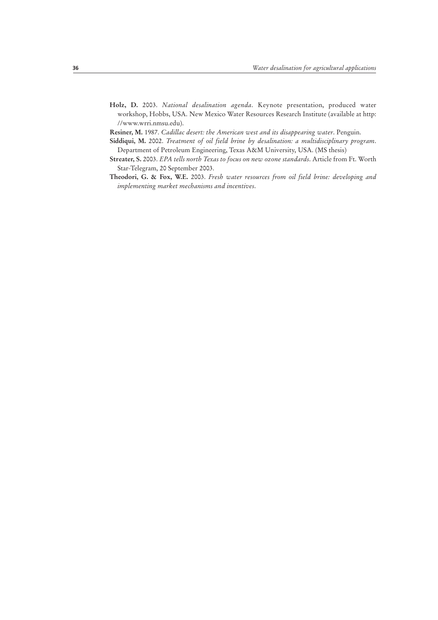**Holz, D.** 2003. *National desalination agenda*. Keynote presentation, produced water workshop, Hobbs, USA. New Mexico Water Resources Research Institute (available at http: //www.wrri.nmsu.edu).

**Resiner, M.** 1987. *Cadillac desert: the American west and its disappearing water*. Penguin.

- **Siddiqui, M.** 2002. *Treatment of oil field brine by desalination: a multidisciplinary program*. Department of Petroleum Engineering, Texas A&M University, USA. (MS thesis)
- **Streater, S.** 2003. *EPA tells north Texas to focus on new ozone standards*. Article from Ft. Worth Star-Telegram, 20 September 2003.
- **Theodori, G. & Fox, W.E.** 2003. *Fresh water resources from oil field brine: developing and implementing market mechanisms and incentives*.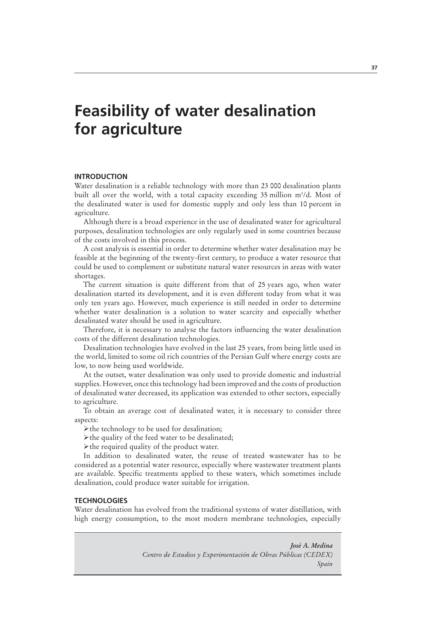## **Feasibility of water desalination for agriculture**

## **INTRODUCTION**

Water desalination is a reliable technology with more than 23 000 desalination plants built all over the world, with a total capacity exceeding 35 million m<sup>3</sup>/d. Most of the desalinated water is used for domestic supply and only less than 10 percent in agriculture.

Although there is a broad experience in the use of desalinated water for agricultural purposes, desalination technologies are only regularly used in some countries because of the costs involved in this process.

A cost analysis is essential in order to determine whether water desalination may be feasible at the beginning of the twenty-first century, to produce a water resource that could be used to complement or substitute natural water resources in areas with water shortages.

The current situation is quite different from that of 25 years ago, when water desalination started its development, and it is even different today from what it was only ten years ago. However, much experience is still needed in order to determine whether water desalination is a solution to water scarcity and especially whether desalinated water should be used in agriculture.

Therefore, it is necessary to analyse the factors influencing the water desalination costs of the different desalination technologies.

Desalination technologies have evolved in the last 25 years, from being little used in the world, limited to some oil rich countries of the Persian Gulf where energy costs are low, to now being used worldwide.

At the outset, water desalination was only used to provide domestic and industrial supplies. However, once this technology had been improved and the costs of production of desalinated water decreased, its application was extended to other sectors, especially to agriculture.

To obtain an average cost of desalinated water, it is necessary to consider three aspects:

 $\triangleright$  the technology to be used for desalination;

 $\triangleright$  the quality of the feed water to be desalinated;

 $\triangleright$  the required quality of the product water.

In addition to desalinated water, the reuse of treated wastewater has to be considered as a potential water resource, especially where wastewater treatment plants are available. Specific treatments applied to these waters, which sometimes include desalination, could produce water suitable for irrigation.

## **TECHNOLOGIES**

Water desalination has evolved from the traditional systems of water distillation, with high energy consumption, to the most modern membrane technologies, especially

> *José A. Medina Centro de Estudios y Experimentación de Obras Públicas (CEDEX) Spain*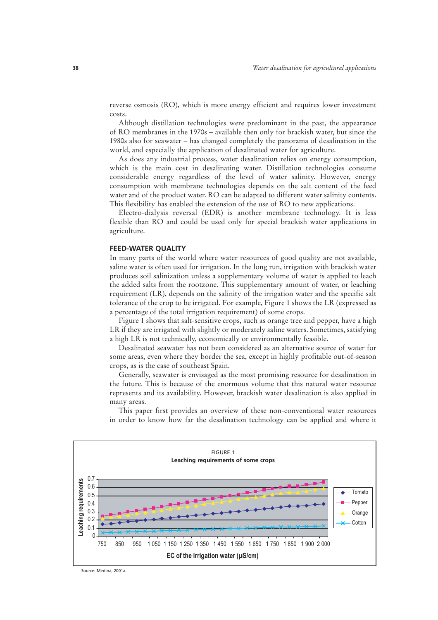reverse osmosis (RO), which is more energy efficient and requires lower investment costs.

Although distillation technologies were predominant in the past, the appearance of RO membranes in the 1970s – available then only for brackish water, but since the 1980s also for seawater – has changed completely the panorama of desalination in the world, and especially the application of desalinated water for agriculture.

As does any industrial process, water desalination relies on energy consumption, which is the main cost in desalinating water. Distillation technologies consume considerable energy regardless of the level of water salinity. However, energy consumption with membrane technologies depends on the salt content of the feed water and of the product water. RO can be adapted to different water salinity contents. This flexibility has enabled the extension of the use of RO to new applications.

Electro-dialysis reversal (EDR) is another membrane technology. It is less flexible than RO and could be used only for special brackish water applications in agriculture.

## **FEED-WATER QUALITY**

In many parts of the world where water resources of good quality are not available, saline water is often used for irrigation. In the long run, irrigation with brackish water produces soil salinization unless a supplementary volume of water is applied to leach the added salts from the rootzone. This supplementary amount of water, or leaching requirement (LR), depends on the salinity of the irrigation water and the specific salt tolerance of the crop to be irrigated. For example, Figure 1 shows the LR (expressed as a percentage of the total irrigation requirement) of some crops.

Figure 1 shows that salt-sensitive crops, such as orange tree and pepper, have a high LR if they are irrigated with slightly or moderately saline waters. Sometimes, satisfying a high LR is not technically, economically or environmentally feasible.

Desalinated seawater has not been considered as an alternative source of water for some areas, even where they border the sea, except in highly profitable out-of-season crops, as is the case of southeast Spain.

Generally, seawater is envisaged as the most promising resource for desalination in the future. This is because of the enormous volume that this natural water resource represents and its availability. However, brackish water desalination is also applied in many areas.

This paper first provides an overview of these non-conventional water resources in order to know how far the desalination technology can be applied and where it



Source: Medina, 2001a.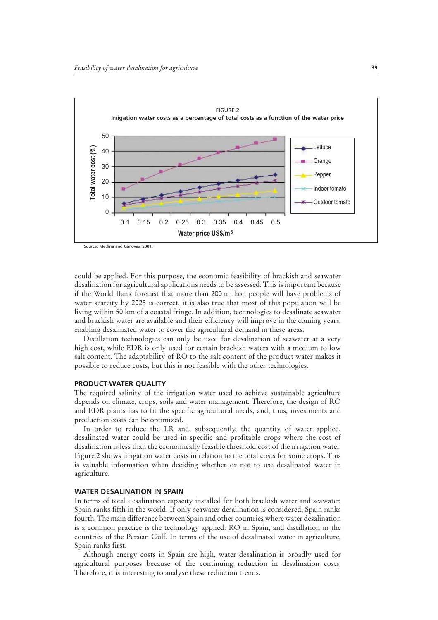

Source: Medina and Cánovas, 2001.

could be applied. For this purpose, the economic feasibility of brackish and seawater desalination for agricultural applications needs to be assessed. This is important because if the World Bank forecast that more than 200 million people will have problems of water scarcity by 2025 is correct, it is also true that most of this population will be living within 50 km of a coastal fringe. In addition, technologies to desalinate seawater and brackish water are available and their efficiency will improve in the coming years, enabling desalinated water to cover the agricultural demand in these areas.

Distillation technologies can only be used for desalination of seawater at a very high cost, while EDR is only used for certain brackish waters with a medium to low salt content. The adaptability of RO to the salt content of the product water makes it possible to reduce costs, but this is not feasible with the other technologies.

## **PRODUCT-WATER QUALITY**

The required salinity of the irrigation water used to achieve sustainable agriculture depends on climate, crops, soils and water management. Therefore, the design of RO and EDR plants has to fit the specific agricultural needs, and, thus, investments and production costs can be optimized.

In order to reduce the LR and, subsequently, the quantity of water applied, desalinated water could be used in specific and profitable crops where the cost of desalination is less than the economically feasible threshold cost of the irrigation water. Figure 2 shows irrigation water costs in relation to the total costs for some crops. This is valuable information when deciding whether or not to use desalinated water in agriculture.

#### **WATER DESALINATION IN SPAIN**

In terms of total desalination capacity installed for both brackish water and seawater, Spain ranks fifth in the world. If only seawater desalination is considered, Spain ranks fourth. The main difference between Spain and other countries where water desalination is a common practice is the technology applied: RO in Spain, and distillation in the countries of the Persian Gulf. In terms of the use of desalinated water in agriculture, Spain ranks first.

Although energy costs in Spain are high, water desalination is broadly used for agricultural purposes because of the continuing reduction in desalination costs. Therefore, it is interesting to analyse these reduction trends.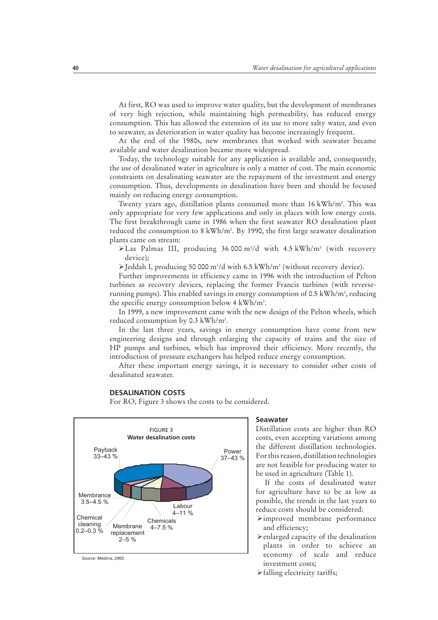At first, RO was used to improve water quality, but the development of membranes of very high rejection, while maintaining high permeability, has reduced energy consumption. This has allowed the extension of its use to more salty water, and even to seawater, as deterioration in water quality has become increasingly frequent.

At the end of the 1980s, new membranes that worked with seawater became available and water desalination became more widespread.

Today, the technology suitable for any application is available and, consequently, the use of desalinated water in agriculture is only a matter of cost. The main economic constraints on desalinating seawater are the repayment of the investment and energy consumption. Thus, developments in desalination have been and should be focused mainly on reducing energy consumption.

Twenty years ago, distillation plants consumed more than 16 kWh/m3 . This was only appropriate for very few applications and only in places with low energy costs. The first breakthrough came in 1986 when the first seawater RO desalination plant reduced the consumption to 8 kWh/m3 . By 1990, the first large seawater desalination plants came on stream:

>Las Palmas III, producing 36 000 m<sup>3</sup>/d with 4.5 kWh/m<sup>3</sup> (with recovery device);

>Jeddah I, producing 50 000 m<sup>3</sup>/d with 6.5 kWh/m<sup>3</sup> (without recovery device).

Further improvements in efficiency came in 1996 with the introduction of Pelton turbines as recovery devices, replacing the former Francis turbines (with reverserunning pumps). This enabled savings in energy consumption of 0.5 kWh/m<sup>3</sup>, reducing the specific energy consumption below 4 kWh/m3 .

In 1999, a new improvement came with the new design of the Pelton wheels, which reduced consumption by 0.3 kWh/m3 .

In the last three years, savings in energy consumption have come from new engineering designs and through enlarging the capacity of trains and the size of HP pumps and turbines, which has improved their efficiency. More recently, the introduction of pressure exchangers has helped reduce energy consumption.

After these important energy savings, it is necessary to consider other costs of desalinated seawater.

## **DESALINATION COSTS**

For RO, Figure 3 shows the costs to be considered.



Source: Medina, 2003.

### **Seawater**

Distillation costs are higher than RO costs, even accepting variations among the different distillation technologies. For this reason, distillation technologies are not feasible for producing water to be used in agriculture (Table 1).

If the costs of desalinated water for agriculture have to be as low as possible, the trends in the last years to reduce costs should be considered:

- $\triangleright$  improved membrane performance and efficiency;
- $\blacktriangleright$  enlarged capacity of the desalination plants in order to achieve an economy of scale and reduce investment costs;
- $\blacktriangleright$  falling electricity tariffs;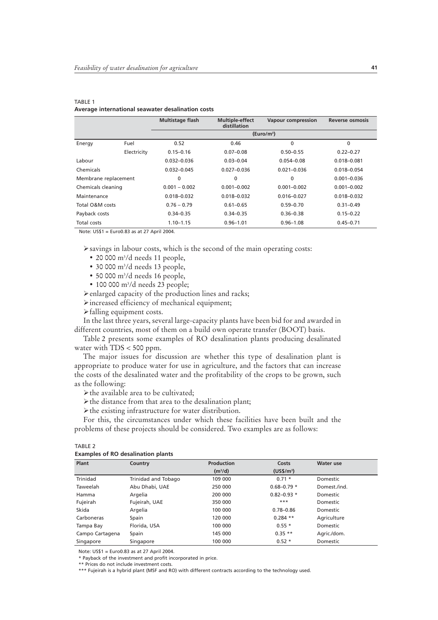|                      |                                                         | <b>Multistage flash</b> | <b>Multiple-effect</b><br>distillation | <b>Vapour compression</b> | Reverse osmosis |
|----------------------|---------------------------------------------------------|-------------------------|----------------------------------------|---------------------------|-----------------|
|                      |                                                         |                         |                                        | (Euro/m <sup>3</sup> )    |                 |
| Energy               | Fuel                                                    | 0.52                    | 0.46                                   | $\mathbf{0}$              | $\mathbf{0}$    |
|                      | Electricity                                             | $0.15 - 0.16$           | $0.07 - 0.08$                          | $0.50 - 0.55$             | $0.22 - 0.27$   |
| Labour               |                                                         | $0.032 - 0.036$         | $0.03 - 0.04$                          | $0.054 - 0.08$            | $0.018 - 0.081$ |
| Chemicals            |                                                         | $0.032 - 0.045$         | $0.027 - 0.036$                        | $0.021 - 0.036$           | $0.018 - 0.054$ |
| Membrane replacement |                                                         | 0                       | 0                                      | $\mathbf{0}$              | $0.001 - 0.036$ |
| Chemicals cleaning   |                                                         | $0.001 - 0.002$         | $0.001 - 0.002$                        | $0.001 - 0.002$           | $0.001 - 0.002$ |
| Maintenance          |                                                         | $0.018 - 0.032$         | $0.018 - 0.032$                        | $0.016 - 0.027$           | $0.018 - 0.032$ |
| Total O&M costs      |                                                         | $0.76 - 0.79$           | $0.61 - 0.65$                          | $0.59 - 0.70$             | $0.31 - 0.49$   |
| Payback costs        |                                                         | $0.34 - 0.35$           | $0.34 - 0.35$                          | $0.36 - 0.38$             | $0.15 - 0.22$   |
| Total costs          |                                                         | $1.10 - 1.15$           | $0.96 - 1.01$                          | $0.96 - 1.08$             | $0.45 - 0.71$   |
|                      | $N_{\text{obs}}$ , $11001 - 5.0000$ as at 27 April 2004 |                         |                                        |                           |                 |

#### TABLE 1 **Average international seawater desalination costs**

Note: US\$1 = Euro0.83 as at 27 April 2004.

 $\triangleright$  savings in labour costs, which is the second of the main operating costs:

- 20 000 m3 /d needs 11 people,
- 30 000 m3 /d needs 13 people,
- 50 000 m3 /d needs 16 people,
- 100 000 m<sup>3</sup>/d needs 23 people;
- $\blacktriangleright$  enlarged capacity of the production lines and racks;
- $\triangleright$  increased efficiency of mechanical equipment;

 $\blacktriangleright$  falling equipment costs.

In the last three years, several large-capacity plants have been bid for and awarded in different countries, most of them on a build own operate transfer (BOOT) basis.

Table 2 presents some examples of RO desalination plants producing desalinated water with TDS < 500 ppm.

The major issues for discussion are whether this type of desalination plant is appropriate to produce water for use in agriculture, and the factors that can increase the costs of the desalinated water and the profitability of the crops to be grown, such as the following:

 $\blacktriangleright$  the available area to be cultivated;

 $\triangleright$  the distance from that area to the desalination plant;

 $\triangleright$  the existing infrastructure for water distribution.

For this, the circumstances under which these facilities have been built and the problems of these projects should be considered. Two examples are as follows:

| <b>A</b> .<br>. . |
|-------------------|
|-------------------|

**Examples of RO desalination plants**

| Plant           | Country             | <b>Production</b>   | Costs                 | <b>Water use</b> |  |
|-----------------|---------------------|---------------------|-----------------------|------------------|--|
|                 |                     | (m <sup>3</sup> /d) | (USS/m <sup>3</sup> ) |                  |  |
| Trinidad        | Trinidad and Tobago | 109 000             | $0.71 *$              | Domestic         |  |
| Taweelah        | Abu Dhabi, UAE      | 250 000             | $0.68 - 0.79*$        | Domest./ind.     |  |
| Hamma           | Argelia             | 200 000             | $0.82 - 0.93*$        | Domestic         |  |
| Fujeirah        | Fujeirah, UAE       | 350 000             | $***$                 | Domestic         |  |
| Skida           | Argelia             | 100 000             | $0.78 - 0.86$         | Domestic         |  |
| Carboneras      | Spain               | 120 000             | $0.284$ **            | Agriculture      |  |
| Tampa Bay       | Florida, USA        | 100 000             | $0.55*$               | Domestic         |  |
| Campo Cartagena | Spain               | 145 000             | $0.35**$              | Agric./dom.      |  |
| Singapore       | Singapore           | 100 000             | $0.52*$               | Domestic         |  |

Note: US\$1 = Euro0.83 as at 27 April 2004.

\* Payback of the investment and profit incorporated in price.

\*\* Prices do not include investment costs.

\*\*\* Fujeirah is a hybrid plant (MSF and RO) with different contracts according to the technology used.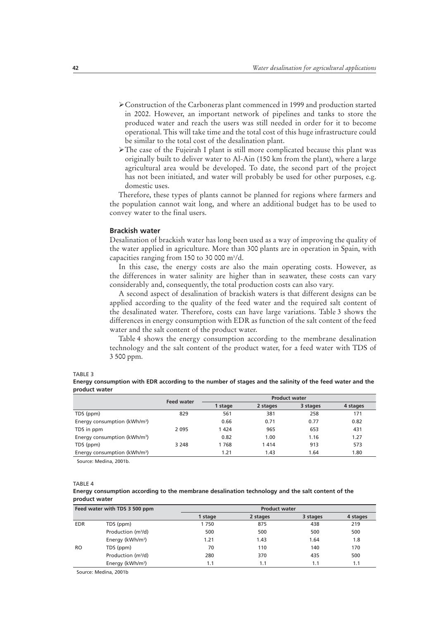- ÿConstruction of the Carboneras plant commenced in 1999 and production started in 2002. However, an important network of pipelines and tanks to store the produced water and reach the users was still needed in order for it to become operational. This will take time and the total cost of this huge infrastructure could be similar to the total cost of the desalination plant.
- $\triangleright$  The case of the Fujeirah I plant is still more complicated because this plant was originally built to deliver water to Al-Ain (150 km from the plant), where a large agricultural area would be developed. To date, the second part of the project has not been initiated, and water will probably be used for other purposes, e.g. domestic uses.

Therefore, these types of plants cannot be planned for regions where farmers and the population cannot wait long, and where an additional budget has to be used to convey water to the final users.

#### **Brackish water**

Desalination of brackish water has long been used as a way of improving the quality of the water applied in agriculture. More than 300 plants are in operation in Spain, with capacities ranging from 150 to 30 000 m<sup>3</sup>/d.

In this case, the energy costs are also the main operating costs. However, as the differences in water salinity are higher than in seawater, these costs can vary considerably and, consequently, the total production costs can also vary.

A second aspect of desalination of brackish waters is that different designs can be applied according to the quality of the feed water and the required salt content of the desalinated water. Therefore, costs can have large variations. Table 3 shows the differences in energy consumption with EDR as function of the salt content of the feed water and the salt content of the product water.

Table 4 shows the energy consumption according to the membrane desalination technology and the salt content of the product water, for a feed water with TDS of 3 500 ppm.

#### TABLE 3

**Energy consumption with EDR according to the number of stages and the salinity of the feed water and the product water** 

|                                          | <b>Feed water</b> | <b>Product water</b> |          |          |          |
|------------------------------------------|-------------------|----------------------|----------|----------|----------|
|                                          |                   | 1 stage              | 2 stages | 3 stages | 4 stages |
| TDS (ppm)                                | 829               | 561                  | 381      | 258      | 171      |
| Energy consumption (kWh/m <sup>3</sup> ) |                   | 0.66                 | 0.71     | 0.77     | 0.82     |
| TDS in ppm                               | 2 0 9 5           | 1 4 2 4              | 965      | 653      | 431      |
| Energy consumption (kWh/m <sup>3</sup> ) |                   | 0.82                 | 1.00     | 1.16     | 1.27     |
| TDS (ppm)                                | 3 2 4 8           | 1768                 | 1414     | 913      | 573      |
| Energy consumption (kWh/m <sup>3</sup> ) |                   | 1.21                 | 1.43     | 1.64     | 1.80     |

Source: Medina, 2001b.

#### TABLE 4

#### **Energy consumption according to the membrane desalination technology and the salt content of the product water**

| Feed water with TDS 3 500 ppm |                                | <b>Product water</b> |          |          |          |  |
|-------------------------------|--------------------------------|----------------------|----------|----------|----------|--|
|                               |                                | 1 stage              | 2 stages | 3 stages | 4 stages |  |
| <b>EDR</b>                    | TDS (ppm)                      | 1750                 | 875      | 438      | 219      |  |
|                               | Production (m <sup>3</sup> /d) | 500                  | 500      | 500      | 500      |  |
|                               | Energy (kWh/m <sup>3</sup> )   | 1.21                 | 1.43     | 1.64     | 1.8      |  |
| <b>RO</b>                     | TDS (ppm)                      | 70                   | 110      | 140      | 170      |  |
|                               | Production (m <sup>3</sup> /d) | 280                  | 370      | 435      | 500      |  |
|                               | Energy (kWh/m <sup>3</sup> )   | 1.1                  | 1.1      | 1.1      | 1.1      |  |

Source: Medina, 2001b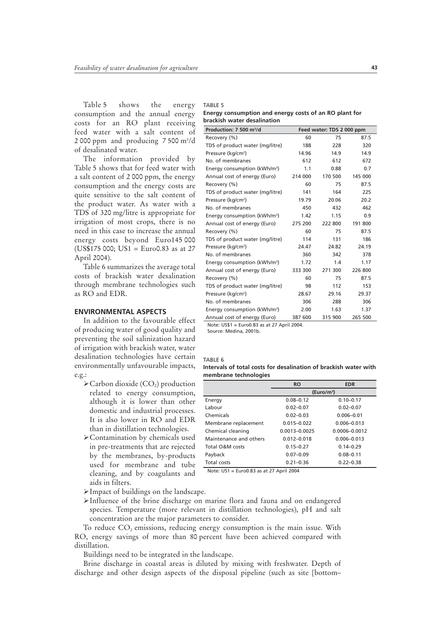Table 5 shows the energy consumption and the annual energy costs for an RO plant receiving feed water with a salt content of 2 000 ppm and producing  $7500 \text{ m}^3/\text{d}$ of desalinated water.

The information provided by Table 5 shows that for feed water with a salt content of 2 000 ppm, the energy consumption and the energy costs are quite sensitive to the salt content of the product water. As water with a TDS of 320 mg/litre is appropriate for irrigation of most crops, there is no need in this case to increase the annual energy costs beyond Euro145 000 (US\$175 000; US1 = Euro0.83 as at 27 April 2004).

Table 6 summarizes the average total costs of brackish water desalination through membrane technologies such as RO and EDR.

## **ENVIRONMENTAL ASPECTS**

In addition to the favourable effect of producing water of good quality and preventing the soil salinization hazard of irrigation with brackish water, water desalination technologies have certain environmentally unfavourable impacts, e.g.:

- $\triangle$  Carbon dioxide (CO<sub>2</sub>) production related to energy consumption, although it is lower than other domestic and industrial processes. It is also lower in RO and EDR than in distillation technologies.
- ÿContamination by chemicals used in pre-treatments that are rejected by the membranes, by-products used for membrane and tube cleaning, and by coagulants and aids in filters.

 $\blacktriangleright$  Impact of buildings on the landscape.

ÿInfluence of the brine discharge on marine flora and fauna and on endangered species. Temperature (more relevant in distillation technologies), pH and salt concentration are the major parameters to consider.

To reduce  $CO<sub>2</sub>$  emissions, reducing energy consumption is the main issue. With RO, energy savings of more than 80 percent have been achieved compared with distillation.

Buildings need to be integrated in the landscape.

Brine discharge in coastal areas is diluted by mixing with freshwater. Depth of discharge and other design aspects of the disposal pipeline (such as site [bottom–

TABLE 5

**Energy consumption and energy costs of an RO plant for brackish water desalination**

| Production: 7 500 m <sup>3</sup> /d      | Feed water: TDS 2 000 ppm |         |         |  |
|------------------------------------------|---------------------------|---------|---------|--|
| Recovery (%)                             | 60                        | 75      | 87.5    |  |
| TDS of product water (mg/litre)          | 188                       | 228     | 320     |  |
| Pressure (kg/cm <sup>2</sup> )           | 14.96                     | 14.9    | 14.9    |  |
| No. of membranes                         | 612                       | 612     | 672     |  |
| Energy consumption (kWh/m <sup>3</sup> ) | 1.1                       | 0.88    | 0.7     |  |
| Annual cost of energy (Euro)             | 214 000                   | 170 500 | 145 000 |  |
| Recovery (%)                             | 60                        | 75      | 87.5    |  |
| TDS of product water (mg/litre)          | 141                       | 164     | 225     |  |
| Pressure (kg/cm <sup>2</sup> )           | 19.79                     | 20.06   | 20.2    |  |
| No. of membranes                         | 450                       | 432     | 462     |  |
| Energy consumption (kWh/m <sup>3</sup> ) | 1.42                      | 1.15    | 0.9     |  |
| Annual cost of energy (Euro)             | 275 200                   | 222 800 | 191 800 |  |
| Recovery (%)                             | 60                        | 75      | 87.5    |  |
| TDS of product water (mg/litre)          | 114                       | 131     | 186     |  |
| Pressure (kg/cm <sup>2</sup> )           | 24.47                     | 24.82   | 24.19   |  |
| No. of membranes                         | 360                       | 342     | 378     |  |
| Energy consumption (kWh/m <sup>3</sup> ) | 1.72                      | 1.4     | 1.17    |  |
| Annual cost of energy (Euro)             | 333 300                   | 271 300 | 226 800 |  |
| Recovery (%)                             | 60                        | 75      | 87.5    |  |
| TDS of product water (mg/litre)          | 98                        | 112     | 153     |  |
| Pressure (kg/cm <sup>2</sup> )           | 28.67                     | 29.16   | 29.37   |  |
| No. of membranes                         | 306                       | 288     | 306     |  |
| Energy consumption (kWh/m <sup>3</sup> ) | 2.00                      | 1.63    | 1.37    |  |
| Annual cost of energy (Euro)             | 387 600                   | 315 900 | 265 500 |  |

Note: US\$1 = Euro0.83 as at 27 April 2004.

Source: Medina, 2001b.

#### TABLE 6

| Intervals of total costs for desalination of brackish water with |  |
|------------------------------------------------------------------|--|
| membrane technologies                                            |  |

|                        | <b>RO</b>              | <b>EDR</b>      |  |
|------------------------|------------------------|-----------------|--|
|                        | (Euro/m <sup>3</sup> ) |                 |  |
| Energy                 | $0.08 - 0.12$          | $0.10 - 0.17$   |  |
| Labour                 | $0.02 - 0.07$          | $0.02 - 0.07$   |  |
| Chemicals              | $0.02 - 0.03$          | $0.006 - 0.01$  |  |
| Membrane replacement   | $0.015 - 0.022$        | $0.006 - 0.013$ |  |
| Chemical cleaning      | $0.0013 - 0.0025$      | 0.0006-0.0012   |  |
| Maintenance and others | $0.012 - 0.018$        | $0.006 - 0.013$ |  |
| Total O&M costs        | $0.15 - 0.27$          | $0.14 - 0.29$   |  |
| Payback                | $0.07 - 0.09$          | $0.08 - 0.11$   |  |
| Total costs            | $0.21 - 0.36$          | $0.22 - 0.38$   |  |

Note: US1 = Euro0.83 as at 27 April 2004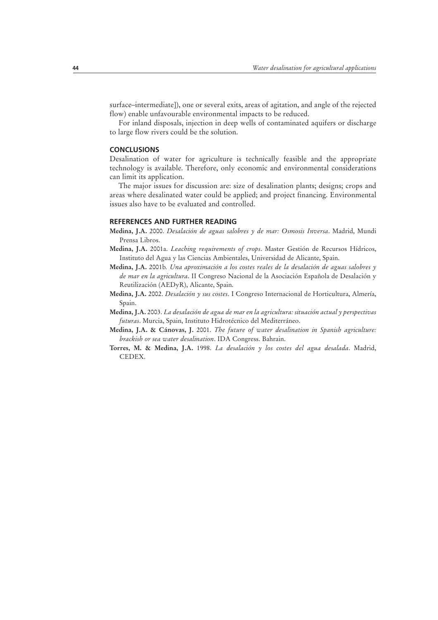surface–intermediate]), one or several exits, areas of agitation, and angle of the rejected flow) enable unfavourable environmental impacts to be reduced.

For inland disposals, injection in deep wells of contaminated aquifers or discharge to large flow rivers could be the solution.

## **CONCLUSIONS**

Desalination of water for agriculture is technically feasible and the appropriate technology is available. Therefore, only economic and environmental considerations can limit its application.

The major issues for discussion are: size of desalination plants; designs; crops and areas where desalinated water could be applied; and project financing. Environmental issues also have to be evaluated and controlled.

### **REFERENCES AND FURTHER READING**

- **Medina, J.A.** 2000. *Desalación de aguas salobres y de mar: Osmosis Inversa*. Madrid, Mundi Prensa Libros.
- **Medina, J.A.** 2001a. *Leaching requirements of crops*. Master Gestión de Recursos Hídricos, Instituto del Agua y las Ciencias Ambientales, Universidad de Alicante, Spain.
- **Medina, J.A.** 2001b*. Una aproximación a los costes reales de la desalación de aguas salobres y de mar en la agricultura*. II Congreso Nacional de la Asociación Española de Desalación y Reutilización (AEDyR), Alicante, Spain.
- **Medina, J.A.** 2002. *Desalación y sus costes*. I Congreso Internacional de Horticultura, Almería, Spain.
- **Medina, J.A.** 2003. *La desalación de agua de mar en la agricultura: situación actual y perspectivas futuras*. Murcia, Spain, Instituto Hidrotécnico del Mediterráneo.
- **Medina, J.A. & Cánovas, J.** 2001. *The future of water desalination in Spanish agriculture: brackish or sea water desalination*. IDA Congress. Bahrain.
- **Torres, M. & Medina, J.A.** 1998. *La desalación y los costes del agua desalada*. Madrid, CEDEX.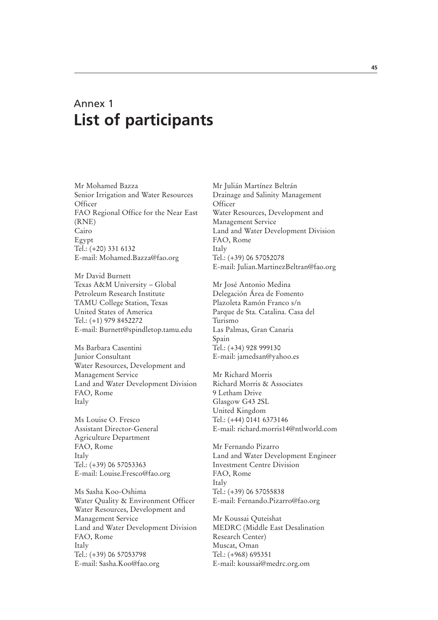## Annex 1 **List of participants**

Mr Mohamed Bazza Senior Irrigation and Water Resources **Officer** FAO Regional Office for the Near East (RNE) Cairo Egypt Tel.: (+20) 331 6132 E-mail: Mohamed.Bazza@fao.org

Mr David Burnett Texas A&M University – Global Petroleum Research Institute TAMU College Station, Texas United States of America Tel.: (+1) 979 8452272 E-mail: Burnett@spindletop.tamu.edu

Ms Barbara Casentini Junior Consultant Water Resources, Development and Management Service Land and Water Development Division FAO, Rome Italy

Ms Louise O. Fresco Assistant Director-General Agriculture Department FAO, Rome Italy Tel.: (+39) 06 57053363 E-mail: Louise.Fresco@fao.org

Ms Sasha Koo-Oshima Water Quality & Environment Officer Water Resources, Development and Management Service Land and Water Development Division FAO, Rome Italy Tel.: (+39) 06 57053798 E-mail: Sasha.Koo@fao.org

Mr Julián Martínez Beltrán Drainage and Salinity Management **Officer** Water Resources, Development and Management Service Land and Water Development Division FAO, Rome Italy Tel.: (+39) 06 57052078 E-mail: Julian.MartinezBeltran@fao.org

Mr José Antonio Medina Delegación Área de Fomento Plazoleta Ramón Franco s/n Parque de Sta. Catalina. Casa del Turismo Las Palmas, Gran Canaria Spain Tel.: (+34) 928 999130 E-mail: jamedsan@yahoo.es

Mr Richard Morris Richard Morris & Associates 9 Letham Drive Glasgow G43 2SL United Kingdom Tel.: (+44) 0141 6373146 E-mail: richard.morris14@ntlworld.com

Mr Fernando Pizarro Land and Water Development Engineer Investment Centre Division FAO, Rome Italy Tel.: (+39) 06 57055838 E-mail: Fernando.Pizarro@fao.org

Mr Koussai Quteishat MEDRC (Middle East Desalination Research Center) Muscat, Oman Tel.: (+968) 695351 E-mail: koussai@medrc.org.om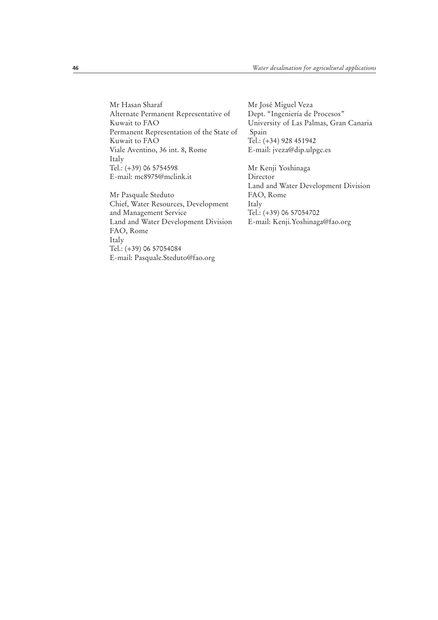Mr Hasan Sharaf Alternate Permanent Representative of Kuwait to FAO Permanent Representation of the State of Kuwait to FAO Viale Aventino, 36 int. 8, Rome Italy Tel.: (+39) 06 5754598 E-mail: mc8975@mclink.it

Mr Pasquale Steduto Chief, Water Resources, Development and Management Service Land and Water Development Division FAO, Rome Italy Tel.: (+39) 06 57054084 E-mail: Pasquale.Steduto@fao.org

Mr José Miguel Veza Dept. "Ingeniería de Procesos" University of Las Palmas, Gran Canaria Spain Tel.: (+34) 928 451942 E-mail: jveza@dip.ulpgc.es

Mr Kenji Yoshinaga Director Land and Water Development Division FAO, Rome Italy Tel.: (+39) 06 57054702 E-mail: Kenji.Yoshinaga@fao.org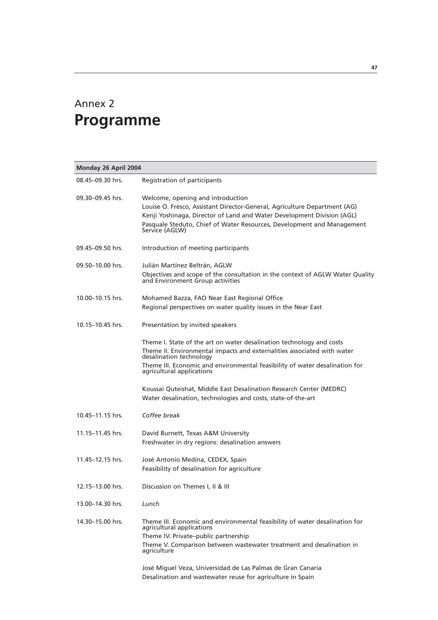## Annex 2 **Programme**

| Monday 26 April 2004 |                                                                                                                                                                                                                                                                                                                                                                      |  |  |  |
|----------------------|----------------------------------------------------------------------------------------------------------------------------------------------------------------------------------------------------------------------------------------------------------------------------------------------------------------------------------------------------------------------|--|--|--|
| 08.45-09.30 hrs.     | Registration of participants                                                                                                                                                                                                                                                                                                                                         |  |  |  |
| 09.30-09.45 hrs.     | Welcome, opening and introduction<br>Louise O. Fresco, Assistant Director-General, Agriculture Department (AG)<br>Kenji Yoshinaga, Director of Land and Water Development Division (AGL)<br>Pasquale Steduto, Chief of Water Resources, Development and Management<br>Service (AGLW)                                                                                 |  |  |  |
| 09.45-09.50 hrs.     | Introduction of meeting participants                                                                                                                                                                                                                                                                                                                                 |  |  |  |
| 09.50-10.00 hrs.     | Julián Martínez Beltrán, AGLW<br>Objectives and scope of the consultation in the context of AGLW Water Quality and Environment Group activities                                                                                                                                                                                                                      |  |  |  |
| 10.00-10.15 hrs.     | Mohamed Bazza, FAO Near East Regional Office<br>Regional perspectives on water quality issues in the Near East                                                                                                                                                                                                                                                       |  |  |  |
| 10.15-10.45 hrs.     | Presentation by invited speakers                                                                                                                                                                                                                                                                                                                                     |  |  |  |
|                      | Theme I. State of the art on water desalination technology and costs<br>Theme II. Environmental impacts and externalities associated with water<br>desalination technology<br>Theme III. Economic and environmental feasibility of water desalination for<br>agricultural applications                                                                               |  |  |  |
|                      | Koussai Quteishat, Middle East Desalination Research Center (MEDRC)<br>Water desalination, technologies and costs, state-of-the-art                                                                                                                                                                                                                                  |  |  |  |
| 10.45–11.15 hrs.     | Coffee break                                                                                                                                                                                                                                                                                                                                                         |  |  |  |
| 11.15-11.45 hrs.     | David Burnett, Texas A&M University<br>Freshwater in dry regions: desalination answers                                                                                                                                                                                                                                                                               |  |  |  |
| 11.45–12.15 hrs.     | José Antonio Medina, CEDEX, Spain<br>Feasibility of desalination for agriculture                                                                                                                                                                                                                                                                                     |  |  |  |
| 12.15–13.00 hrs.     | Discussion on Themes I, II & III                                                                                                                                                                                                                                                                                                                                     |  |  |  |
| 13.00–14.30 hrs.     | Lunch                                                                                                                                                                                                                                                                                                                                                                |  |  |  |
| 14.30-15.00 hrs.     | Theme III. Economic and environmental feasibility of water desalination for<br>agricultural applications<br>Theme IV. Private-public partnership<br>Theme V. Comparison between wastewater treatment and desalination in<br>agriculture<br>José Miquel Veza, Universidad de Las Palmas de Gran Canaria<br>Desalination and wastewater reuse for agriculture in Spain |  |  |  |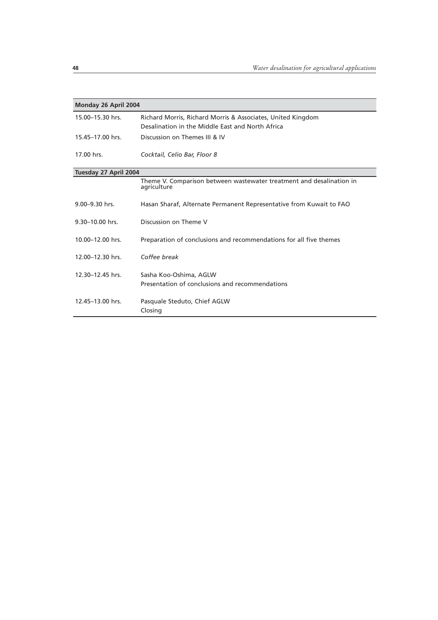| Monday 26 April 2004  |                                                                                                                 |
|-----------------------|-----------------------------------------------------------------------------------------------------------------|
| 15.00-15.30 hrs.      | Richard Morris, Richard Morris & Associates, United Kingdom<br>Desalination in the Middle East and North Africa |
| 15.45-17.00 hrs.      | Discussion on Themes III & IV                                                                                   |
| 17.00 hrs.            | Cocktail, Celio Bar, Floor 8                                                                                    |
| Tuesday 27 April 2004 |                                                                                                                 |
|                       | Theme V. Comparison between wastewater treatment and desalination in<br>agriculture                             |
| 9.00-9.30 hrs.        | Hasan Sharaf, Alternate Permanent Representative from Kuwait to FAO                                             |
| 9.30-10.00 hrs.       | Discussion on Theme V                                                                                           |
| 10.00-12.00 hrs.      | Preparation of conclusions and recommendations for all five themes                                              |
| 12.00-12.30 hrs.      | Coffee break                                                                                                    |
| 12.30-12.45 hrs.      | Sasha Koo-Oshima, AGLW<br>Presentation of conclusions and recommendations                                       |
| 12.45-13.00 hrs.      | Pasquale Steduto, Chief AGLW<br>Closing                                                                         |